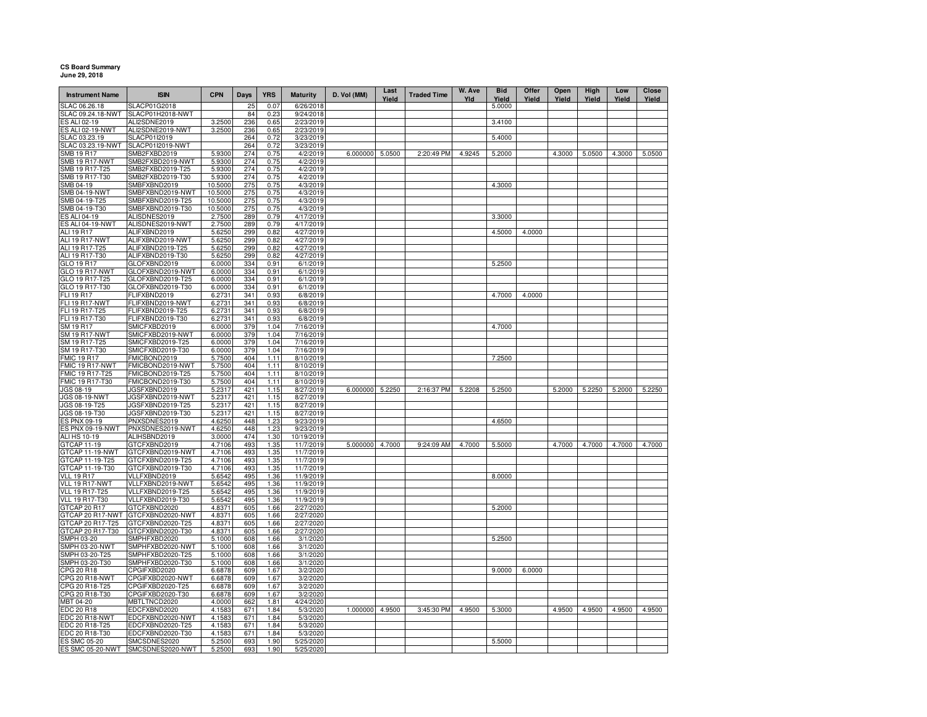## **CS Board Summary June 29, 2018**

| <b>Instrument Name</b>           | <b>ISIN</b>                          | <b>CPN</b>       | <b>Days</b> | <b>YRS</b>   | <b>Maturity</b>        | D. Vol (MM)     | Last<br>Yield | <b>Traded Time</b> | W. Ave<br>Yld | <b>Bid</b><br>Yield | Offer<br>Yield | Open<br>Yield | <b>High</b><br>Yield | Low<br>Yield | Close<br>Yield |
|----------------------------------|--------------------------------------|------------------|-------------|--------------|------------------------|-----------------|---------------|--------------------|---------------|---------------------|----------------|---------------|----------------------|--------------|----------------|
| SLAC 06.26.18                    | SLACP01G2018                         |                  | 25          | 0.07         | 6/26/2018              |                 |               |                    |               | 5.0000              |                |               |                      |              |                |
| SLAC 09.24.18-NWT                | SLACP01H2018-NWT                     |                  | 84          | 0.23         | 9/24/2018              |                 |               |                    |               |                     |                |               |                      |              |                |
| ES ALI 02-19                     | ALI2SDNE2019                         | 3.2500           | 236         | 0.65         | 2/23/2019              |                 |               |                    |               | 3.4100              |                |               |                      |              |                |
| <b>ES ALI 02-19-NWT</b>          | ALI2SDNE2019-NWT                     | 3.2500           | 236         | 0.65         | 2/23/2019              |                 |               |                    |               |                     |                |               |                      |              |                |
| SLAC 03.23.19                    | <b>SLACP01I2019</b>                  |                  | 264         | 0.72         | 3/23/2019              |                 |               |                    |               | 5.4000              |                |               |                      |              |                |
| SLAC 03.23.19-NWT                | SLACP01I2019-NWT                     |                  | 264<br>274  | 0.72         | 3/23/2019              |                 |               |                    |               |                     |                |               |                      |              |                |
| SMB 19 R17<br>SMB 19 R17-NWT     | SMB2FXBD2019<br>SMB2FXBD2019-NWT     | 5.9300<br>5.9300 | 274         | 0.75<br>0.75 | 4/2/2019<br>4/2/2019   | 6.000000 5.0500 |               | 2:20:49 PM         | 4.9245        | 5.2000              |                | 4.3000        | 5.0500               | 4.3000       | 5.0500         |
| SMB 19 R17-T25                   | SMB2FXBD2019-T25                     | 5.9300           | 274         | 0.75         | 4/2/2019               |                 |               |                    |               |                     |                |               |                      |              |                |
| SMB 19 R17-T30                   | SMB2FXBD2019-T30                     | 5.9300           | 274         | 0.75         | 4/2/2019               |                 |               |                    |               |                     |                |               |                      |              |                |
| SMB 04-19                        | SMBFXBND2019                         | 10.5000          | 275         | 0.75         | 4/3/2019               |                 |               |                    |               | 4.3000              |                |               |                      |              |                |
| SMB 04-19-NWT                    | SMBFXBND2019-NWT                     | 10.5000          | 275         | 0.75         | 4/3/2019               |                 |               |                    |               |                     |                |               |                      |              |                |
| SMB 04-19-T25                    | SMBFXBND2019-T25                     | 10.5000          | 275         | 0.75         | 4/3/2019               |                 |               |                    |               |                     |                |               |                      |              |                |
| SMB 04-19-T30                    | SMBFXBND2019-T30                     | 10.5000          | 275         | 0.75         | 4/3/2019               |                 |               |                    |               |                     |                |               |                      |              |                |
| ES ALI 04-19                     | ALISDNES2019                         | 2.7500           | 289         | 0.79         | 4/17/2019              |                 |               |                    |               | 3.3000              |                |               |                      |              |                |
| <b>ES ALI 04-19-NWT</b>          | ALISDNES2019-NWT                     | 2.7500           | 289         | 0.79         | 4/17/2019              |                 |               |                    |               |                     |                |               |                      |              |                |
| ALI 19 R17                       | ALIFXBND2019                         | 5.6250           | 299         | 0.82         | 4/27/2019              |                 |               |                    |               | 4.5000              | 4.0000         |               |                      |              |                |
| <b>ALI 19 R17-NWT</b>            | ALIFXBND2019-NWT                     | 5.6250           | 299         | 0.82         | 4/27/2019              |                 |               |                    |               |                     |                |               |                      |              |                |
| ALI 19 R17-T25                   | ALIFXBND2019-T25                     | 5.6250           | 299         | 0.82         | 4/27/2019              |                 |               |                    |               |                     |                |               |                      |              |                |
| ALI 19 R17-T30                   | ALIFXBND2019-T30                     | 5.6250           | 299         | 0.82         | 4/27/2019              |                 |               |                    |               |                     |                |               |                      |              |                |
| GLO 19 R17                       | GLOFXBND2019                         | 6.0000           | 334         | 0.91         | 6/1/2019               |                 |               |                    |               | 5.2500              |                |               |                      |              |                |
| GLO 19 R17-NWT                   | GLOFXBND2019-NWT                     | 6.0000           | 334         | 0.91         | 6/1/2019               |                 |               |                    |               |                     |                |               |                      |              |                |
| GLO 19 R17-T25                   | GLOFXBND2019-T25                     | 6.0000           | 334         | 0.91         | 6/1/2019               |                 |               |                    |               |                     |                |               |                      |              |                |
| GLO 19 R17-T30                   | GLOFXBND2019-T30                     | 6.0000           | 334         | 0.91         | 6/1/2019               |                 |               |                    |               |                     |                |               |                      |              |                |
| FLI 19 R17                       | FLIFXBND2019                         | 6.2731           | 341         | 0.93         | 6/8/2019               |                 |               |                    |               | 4.7000              | 4.0000         |               |                      |              |                |
| FLI 19 R17-NWT                   | FLIFXBND2019-NWT                     | 6.2731           | 341         | 0.93         | 6/8/2019               |                 |               |                    |               |                     |                |               |                      |              |                |
| FLI 19 R17-T25                   | FLIFXBND2019-T25                     | 6.2731           | 341         | 0.93         | 6/8/2019               |                 |               |                    |               |                     |                |               |                      |              |                |
| FLI 19 R17-T30                   | FLIFXBND2019-T30                     | 6.2731           | 341         | 0.93         | 6/8/2019               |                 |               |                    |               |                     |                |               |                      |              |                |
| SM 19 R17                        | SMICFXBD2019                         | 6.0000           | 379         | 1.04         | 7/16/2019              |                 |               |                    |               | 4.7000              |                |               |                      |              |                |
| <b>SM 19 R17-NWT</b>             | SMICFXBD2019-NWT                     | 6.0000           | 379         | 1.04         | 7/16/2019              |                 |               |                    |               |                     |                |               |                      |              |                |
| SM 19 R17-T25<br>SM 19 R17-T30   | SMICFXBD2019-T25                     | 6.0000           | 379<br>379  | 1.04<br>1.04 | 7/16/2019              |                 |               |                    |               |                     |                |               |                      |              |                |
| <b>FMIC 19 R17</b>               | SMICFXBD2019-T30<br>FMICBOND2019     | 6.0000<br>5.7500 | 404         | 1.11         | 7/16/2019<br>8/10/2019 |                 |               |                    |               | 7.2500              |                |               |                      |              |                |
| FMIC 19 R17-NWT                  | FMICBOND2019-NWT                     | 5.7500           | 404         | 1.11         | 8/10/2019              |                 |               |                    |               |                     |                |               |                      |              |                |
| FMIC 19 R17-T25                  | FMICBOND2019-T25                     | 5.7500           | 404         | 1.11         | 8/10/2019              |                 |               |                    |               |                     |                |               |                      |              |                |
| FMIC 19 R17-T30                  | FMICBOND2019-T30                     | 5.7500           | 404         | 1.11         | 8/10/2019              |                 |               |                    |               |                     |                |               |                      |              |                |
| JGS 08-19                        | JGSFXBND2019                         | 5.2317           | 421         | 1.15         | 8/27/2019              | 6.000000 5.2250 |               | 2:16:37 PM         | 5.2208        | 5.2500              |                | 5.2000        | 5.2250               | 5.2000       | 5.2250         |
| JGS 08-19-NWT                    | JGSFXBND2019-NWT                     | 5.2317           | 421         | 1.15         | 8/27/2019              |                 |               |                    |               |                     |                |               |                      |              |                |
| JGS 08-19-T25                    | JGSFXBND2019-T25                     | 5.2317           | 421         | 1.15         | 8/27/2019              |                 |               |                    |               |                     |                |               |                      |              |                |
| JGS 08-19-T30                    | JGSFXBND2019-T30                     | 5.2317           | 421         | 1.15         | 8/27/2019              |                 |               |                    |               |                     |                |               |                      |              |                |
| ES PNX 09-19                     | PNXSDNES2019                         | 4.6250           | 448         | 1.23         | 9/23/2019              |                 |               |                    |               | 4.6500              |                |               |                      |              |                |
| ES PNX 09-19-NWT                 | PNXSDNES2019-NWT                     | 4.6250           | 448         | 1.23         | 9/23/2019              |                 |               |                    |               |                     |                |               |                      |              |                |
| ALI HS 10-19                     | ALIHSBND2019                         | 3.0000           | 474         | 1.30         | 10/19/2019             |                 |               |                    |               |                     |                |               |                      |              |                |
| GTCAP 11-19                      | GTCFXBND2019                         | 4.7106           | 493         | 1.35         | 11/7/2019              | 5.000000 4.7000 |               | 9:24:09 AM         | 4.7000        | 5.5000              |                | 4.7000        | 4.7000               | 4.7000       | 4.7000         |
| GTCAP 11-19-NWT                  | GTCFXBND2019-NWT                     | 4.7106           | 493         | 1.35         | 11/7/2019              |                 |               |                    |               |                     |                |               |                      |              |                |
| GTCAP 11-19-T25                  | GTCFXBND2019-T25                     | 4.7106           | 493         | 1.35         | 11/7/2019              |                 |               |                    |               |                     |                |               |                      |              |                |
| GTCAP 11-19-T30                  | GTCFXBND2019-T30                     | 4.7106           | 493         | 1.35         | 11/7/2019              |                 |               |                    |               |                     |                |               |                      |              |                |
| <b>VLL 19 R17</b>                | VLLFXBND2019                         | 5.6542           | 495         | 1.36         | 11/9/2019              |                 |               |                    |               | 8.0000              |                |               |                      |              |                |
| VLL 19 R17-NWT                   | VLLFXBND2019-NWT                     | 5.6542           | 495         | 1.36         | 11/9/2019              |                 |               |                    |               |                     |                |               |                      |              |                |
| VLL 19 R17-T25<br>VLL 19 R17-T30 | VLLFXBND2019-T25<br>VLLFXBND2019-T30 | 5.6542<br>5.6542 | 495<br>495  | 1.36<br>1.36 | 11/9/2019<br>11/9/2019 |                 |               |                    |               |                     |                |               |                      |              |                |
| GTCAP 20 R17                     | GTCFXBND2020                         | 4.8371           | 605         | 1.66         | 2/27/2020              |                 |               |                    |               | 5.2000              |                |               |                      |              |                |
| GTCAP 20 R17-NWT                 | GTCFXBND2020-NWT                     | 4.8371           | 605         | 1.66         | 2/27/2020              |                 |               |                    |               |                     |                |               |                      |              |                |
| GTCAP 20 R17-T25                 | GTCFXBND2020-T25                     | 4.8371           | 605         | 1.66         | 2/27/2020              |                 |               |                    |               |                     |                |               |                      |              |                |
| GTCAP 20 R17-T30                 | GTCFXBND2020-T30                     | 4.8371           | 605         | 1.66         | 2/27/2020              |                 |               |                    |               |                     |                |               |                      |              |                |
| SMPH 03-20                       | SMPHFXBD2020                         | 5.1000           | 608         | 1.66         | 3/1/2020               |                 |               |                    |               | 5.2500              |                |               |                      |              |                |
| <b>SMPH 03-20-NWT</b>            | SMPHFXBD2020-NWT                     | 5.1000           | 608         | 1.66         | 3/1/2020               |                 |               |                    |               |                     |                |               |                      |              |                |
| SMPH 03-20-T25                   | SMPHFXBD2020-T25                     | 5.1000           | 608         | 1.66         | 3/1/2020               |                 |               |                    |               |                     |                |               |                      |              |                |
| SMPH 03-20-T30                   | SMPHFXBD2020-T30                     | 5.1000           | 608         | 1.66         | 3/1/2020               |                 |               |                    |               |                     |                |               |                      |              |                |
| CPG 20 R18                       | CPGIFXBD2020                         | 6.6878           | 609         | 1.67         | 3/2/2020               |                 |               |                    |               | 9.0000              | 6.0000         |               |                      |              |                |
| CPG 20 R18-NWT                   | CPGIFXBD2020-NWT                     | 6.6878           | 609         | 1.67         | 3/2/2020               |                 |               |                    |               |                     |                |               |                      |              |                |
| CPG 20 R18-T25                   | CPGIFXBD2020-T25                     | 6.6878           | 609         | 1.67         | 3/2/2020               |                 |               |                    |               |                     |                |               |                      |              |                |
| CPG 20 R18-T30                   | CPGIFXBD2020-T30                     | 6.6878           | 609         | 1.67         | 3/2/2020               |                 |               |                    |               |                     |                |               |                      |              |                |
| MBT 04-20                        | MBTLTNCD2020                         | 4.0000           | 662         | 1.81         | 4/24/2020              |                 |               |                    |               |                     |                |               |                      |              |                |
| EDC 20 R18                       | EDCFXBND2020                         | 4.1583           | 671         | 1.84         | 5/3/2020               | 1.000000 4.9500 |               | 3:45:30 PM         | 4.9500        | 5.3000              |                | 4.9500        | 4.9500               | 4.9500       | 4.9500         |
| EDC 20 R18-NWT                   | EDCFXBND2020-NWT                     | 4.1583           | 671         | 1.84         | 5/3/2020               |                 |               |                    |               |                     |                |               |                      |              |                |
| EDC 20 R18-T25                   | EDCFXBND2020-T25                     | 4.1583           | 671         | 1.84         | 5/3/2020               |                 |               |                    |               |                     |                |               |                      |              |                |
| EDC 20 R18-T30                   | EDCFXBND2020-T30                     | 4.1583           | 671         | 1.84         | 5/3/2020               |                 |               |                    |               |                     |                |               |                      |              |                |
| ES SMC 05-20                     | SMCSDNES2020                         | 5.2500           | 693         | 1.90         | 5/25/2020              |                 |               |                    |               | 5.5000              |                |               |                      |              |                |
|                                  | ES SMC 05-20-NWT SMCSDNES2020-NWT    | 5.2500           | 693         | 1.90         | 5/25/2020              |                 |               |                    |               |                     |                |               |                      |              |                |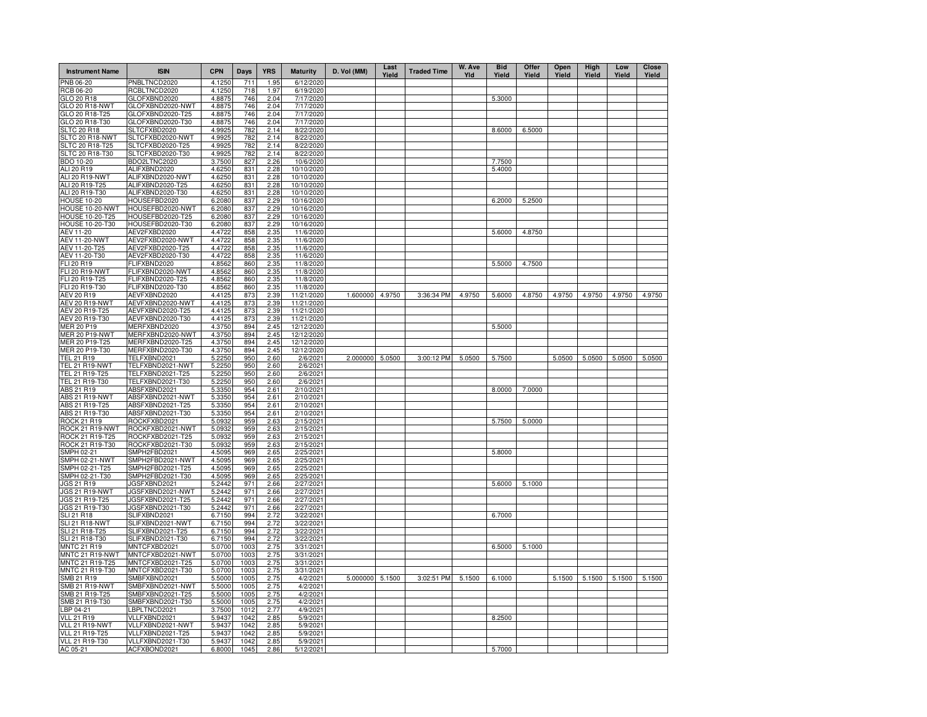| <b>Instrument Name</b>             | <b>ISIN</b>                          | <b>CPN</b>       | Days         | <b>YRS</b>   | <b>Maturity</b>          | D. Vol (MM)     | Last<br>Yield | <b>Traded Time</b> | W. Ave<br>Yld | <b>Bid</b><br>Yield | Offer<br>Yield | Open<br>Yield | <b>High</b><br>Yield | Low<br>Yield | Close<br>Yield |
|------------------------------------|--------------------------------------|------------------|--------------|--------------|--------------------------|-----------------|---------------|--------------------|---------------|---------------------|----------------|---------------|----------------------|--------------|----------------|
| PNB 06-20                          | PNBLTNCD2020                         | 4.1250           | 711          | 1.95         | 6/12/2020                |                 |               |                    |               |                     |                |               |                      |              |                |
| RCB 06-20                          | RCBLTNCD2020                         | 4.1250           | 718          | 1.97         | 6/19/2020                |                 |               |                    |               |                     |                |               |                      |              |                |
| GLO 20 R18                         | GLOFXBND2020                         | 4.8875           | 746          | 2.04         | 7/17/2020                |                 |               |                    |               | 5.3000              |                |               |                      |              |                |
| GLO 20 R18-NWT<br>GLO 20 R18-T25   | GLOFXBND2020-NWT<br>GLOFXBND2020-T25 | 4.8875<br>4.8875 | 746<br>746   | 2.04<br>2.04 | 7/17/2020<br>7/17/2020   |                 |               |                    |               |                     |                |               |                      |              |                |
| GLO 20 R18-T30                     | GLOFXBND2020-T30                     | 4.8875           | 746          | 2.04         | 7/17/2020                |                 |               |                    |               |                     |                |               |                      |              |                |
| <b>SLTC 20 R18</b>                 | SLTCFXBD2020                         | 4.9925           | 782          | 2.14         | 8/22/2020                |                 |               |                    |               | 8.6000              | 6.5000         |               |                      |              |                |
| SLTC 20 R18-NWT                    | SLTCFXBD2020-NWT                     | 4.9925           | 782          | 2.14         | 8/22/2020                |                 |               |                    |               |                     |                |               |                      |              |                |
| SLTC 20 R18-T25                    | SLTCFXBD2020-T25                     | 4.9925           | 782          | 2.14         | 8/22/2020                |                 |               |                    |               |                     |                |               |                      |              |                |
| SLTC 20 R18-T30                    | SLTCFXBD2020-T30                     | 4.9925           | 782          | 2.14         | 8/22/2020                |                 |               |                    |               |                     |                |               |                      |              |                |
| BDO 10-20                          | BDO2LTNC2020                         | 3.7500           | 827          | 2.26         | 10/6/2020                |                 |               |                    |               | 7.7500              |                |               |                      |              |                |
| ALI 20 R19                         | ALIFXBND2020                         | 4.6250           | 831          | 2.28         | 10/10/2020               |                 |               |                    |               | 5.4000              |                |               |                      |              |                |
| ALI 20 R19-NWT                     | ALIFXBND2020-NWT                     | 4.6250           | 831          | 2.28         | 10/10/2020               |                 |               |                    |               |                     |                |               |                      |              |                |
| ALI 20 R19-T25<br>ALI 20 R19-T30   | ALIFXBND2020-T25                     | 4.6250<br>4.6250 | 831<br>831   | 2.28         | 10/10/2020<br>10/10/2020 |                 |               |                    |               |                     |                |               |                      |              |                |
| <b>HOUSE 10-20</b>                 | ALIFXBND2020-T30<br>HOUSEFBD2020     | 6.2080           | 837          | 2.28<br>2.29 | 10/16/2020               |                 |               |                    |               | 6.2000              | 5.2500         |               |                      |              |                |
| HOUSE 10-20-NWT                    | HOUSEFBD2020-NWT                     | 6.2080           | 837          | 2.29         | 10/16/2020               |                 |               |                    |               |                     |                |               |                      |              |                |
| HOUSE 10-20-T25                    | HOUSEFBD2020-T25                     | 6.2080           | 837          | 2.29         | 10/16/2020               |                 |               |                    |               |                     |                |               |                      |              |                |
| <b>HOUSE 10-20-T30</b>             | HOUSEFBD2020-T30                     | 6.2080           | 837          | 2.29         | 10/16/2020               |                 |               |                    |               |                     |                |               |                      |              |                |
| AEV 11-20                          | AEV2FXBD2020                         | 4.4722           | 858          | 2.35         | 11/6/2020                |                 |               |                    |               | 5.6000              | 4.8750         |               |                      |              |                |
| <b>AEV 11-20-NWT</b>               | AEV2FXBD2020-NWT                     | 4.4722           | 858          | 2.35         | 11/6/2020                |                 |               |                    |               |                     |                |               |                      |              |                |
| AEV 11-20-T25                      | AEV2FXBD2020-T25                     | 4.4722           | 858          | 2.35         | 11/6/2020                |                 |               |                    |               |                     |                |               |                      |              |                |
| AEV 11-20-T30                      | AEV2FXBD2020-T30                     | 4.4722           | 858          | 2.35         | 11/6/2020                |                 |               |                    |               |                     |                |               |                      |              |                |
| FLI 20 R19                         | FLIFXBND2020                         | 4.8562           | 860          | 2.35         | 11/8/2020                |                 |               |                    |               | 5.5000              | 4.7500         |               |                      |              |                |
| FLI 20 R19-NWT<br>FLI 20 R19-T25   | FLIFXBND2020-NWT<br>FLIFXBND2020-T25 | 4.8562<br>4.8562 | 860<br>860   | 2.35<br>2.35 | 11/8/2020<br>11/8/2020   |                 |               |                    |               |                     |                |               |                      |              |                |
| FLI 20 R19-T30                     | FLIFXBND2020-T30                     | 4.8562           | 860          | 2.35         | 11/8/2020                |                 |               |                    |               |                     |                |               |                      |              |                |
| <b>AEV 20 R19</b>                  | AEVFXBND2020                         | 4.4125           | 873          | 2.39         | 11/21/2020               | 1.600000 4.9750 |               | 3:36:34 PM         | 4.9750        | 5.6000              | 4.8750         | 4.9750        | 4.9750               | 4.9750       | 4.9750         |
| AEV 20 R19-NWT                     | AEVFXBND2020-NWT                     | 4.4125           | 873          | 2.39         | 11/21/2020               |                 |               |                    |               |                     |                |               |                      |              |                |
| AEV 20 R19-T25                     | AEVFXBND2020-T25                     | 4.4125           | 873          | 2.39         | 11/21/2020               |                 |               |                    |               |                     |                |               |                      |              |                |
| AEV 20 R19-T30                     | AEVFXBND2020-T30                     | 4.4125           | 873          | 2.39         | 11/21/2020               |                 |               |                    |               |                     |                |               |                      |              |                |
| MER 20 P19                         | MERFXBND2020                         | 4.3750           | 894          | 2.45         | 12/12/2020               |                 |               |                    |               | 5.5000              |                |               |                      |              |                |
| <b>MER 20 P19-NWT</b>              | MERFXBND2020-NWT                     | 4.3750           | 894          | 2.45         | 12/12/2020               |                 |               |                    |               |                     |                |               |                      |              |                |
| MER 20 P19-T25                     | MERFXBND2020-T25                     | 4.3750           | 894          | 2.45         | 12/12/2020               |                 |               |                    |               |                     |                |               |                      |              |                |
| MER 20 P19-T30<br>TEL 21 R19       | MERFXBND2020-T30                     | 4.3750<br>5.2250 | 894          | 2.45         | 12/12/2020               | 2.000000        | 5.0500        | 3:00:12 PM         | 5.0500        | 5.7500              |                | 5.0500        | 5.0500               | 5.0500       | 5.0500         |
| TEL 21 R19-NWT                     | TELFXBND2021<br>TELFXBND2021-NWT     | 5.2250           | 950<br>95C   | 2.60<br>2.60 | 2/6/2021<br>2/6/2021     |                 |               |                    |               |                     |                |               |                      |              |                |
| TEL 21 R19-T25                     | TELFXBND2021-T25                     | 5.2250           | 95C          | 2.60         | 2/6/2021                 |                 |               |                    |               |                     |                |               |                      |              |                |
| TEL 21 R19-T30                     | TELFXBND2021-T30                     | 5.2250           | 95C          | 2.60         | 2/6/2021                 |                 |               |                    |               |                     |                |               |                      |              |                |
| ABS 21 R19                         | ABSFXBND2021                         | 5.3350           | 954          | 2.61         | 2/10/2021                |                 |               |                    |               | 8.0000              | 7.0000         |               |                      |              |                |
| ABS 21 R19-NWT                     | ABSFXBND2021-NWT                     | 5.3350           | 954          | 2.61         | 2/10/2021                |                 |               |                    |               |                     |                |               |                      |              |                |
| ABS 21 R19-T25                     | ABSFXBND2021-T25                     | 5.3350           | 954          | 2.61         | 2/10/2021                |                 |               |                    |               |                     |                |               |                      |              |                |
| ABS 21 R19-T30                     | ABSFXBND2021-T30                     | 5.3350           | 954          | 2.61         | 2/10/2021                |                 |               |                    |               |                     |                |               |                      |              |                |
| ROCK 21 R19                        | ROCKFXBD2021                         | 5.0932           | 959          | 2.63         | 2/15/2021                |                 |               |                    |               | 5.7500              | 5.0000         |               |                      |              |                |
| ROCK 21 R19-NWT<br>ROCK 21 R19-T25 | ROCKFXBD2021-NWT<br>ROCKFXBD2021-T25 | 5.0932<br>5.0932 | 959<br>959   | 2.63<br>2.63 | 2/15/2021<br>2/15/2021   |                 |               |                    |               |                     |                |               |                      |              |                |
| ROCK 21 R19-T30                    | ROCKFXBD2021-T30                     | 5.0932           | 959          | 2.63         | 2/15/2021                |                 |               |                    |               |                     |                |               |                      |              |                |
| SMPH 02-21                         | SMPH2FBD2021                         | 4.5095           | 969          | 2.65         | 2/25/2021                |                 |               |                    |               | 5.8000              |                |               |                      |              |                |
| SMPH 02-21-NWT                     | SMPH2FBD2021-NWT                     | 4.5095           | 969          | 2.65         | 2/25/2021                |                 |               |                    |               |                     |                |               |                      |              |                |
| SMPH 02-21-T25                     | SMPH2FBD2021-T25                     | 4.5095           | 969          | 2.65         | 2/25/2021                |                 |               |                    |               |                     |                |               |                      |              |                |
| SMPH 02-21-T30                     | SMPH2FBD2021-T30                     | 4.5095           | 969          | 2.65         | 2/25/2021                |                 |               |                    |               |                     |                |               |                      |              |                |
| JGS 21 R19                         | JGSFXBND2021                         | 5.2442           | 971          | 2.66         | 2/27/2021                |                 |               |                    |               | 5.6000              | 5.1000         |               |                      |              |                |
| JGS 21 R19-NWT                     | JGSFXBND2021-NWT                     | 5.2442           | 971          | 2.66         | 2/27/2021                |                 |               |                    |               |                     |                |               |                      |              |                |
| JGS 21 R19-T25                     | JGSFXBND2021-T25                     | 5.2442           | 971          | 2.66         | 2/27/2021                |                 |               |                    |               |                     |                |               |                      |              |                |
| JGS 21 R19-T30                     | JGSFXBND2021-T30<br>SLIFXBND2021     | 5.2442<br>6.7150 | 971<br>994   | 2.66<br>2.72 | 2/27/2021<br>3/22/2021   |                 |               |                    |               | 6.7000              |                |               |                      |              |                |
| SLI 21 R18<br>SLI 21 R18-NWT       | SLIFXBND2021-NWT                     | 6.7150           | 994          | 2.72         | 3/22/2021                |                 |               |                    |               |                     |                |               |                      |              |                |
| SLI 21 R18-T25                     | SLIFXBND2021-T25                     | 6.7150           | 994          | 2.72         | 3/22/2021                |                 |               |                    |               |                     |                |               |                      |              |                |
| SLI 21 R18-T30                     | SLIFXBND2021-T30                     | 6.7150           | 994          | 2.72         | 3/22/2021                |                 |               |                    |               |                     |                |               |                      |              |                |
| <b>MNTC 21 R19</b>                 | MNTCFXBD2021                         | 5.0700           | 1003         | 2.75         | 3/31/2021                |                 |               |                    |               | 6.5000              | 5.1000         |               |                      |              |                |
| MNTC 21 R19-NWT                    | MNTCFXBD2021-NWT                     | 5.0700           | 1003         | 2.75         | 3/31/2021                |                 |               |                    |               |                     |                |               |                      |              |                |
| MNTC 21 R19-T25                    | MNTCFXBD2021-T25                     | 5.0700           | 1003         | 2.75         | 3/31/2021                |                 |               |                    |               |                     |                |               |                      |              |                |
| MNTC 21 R19-T30                    | MNTCFXBD2021-T30                     | 5.0700           | 1003         | 2.75         | 3/31/2021                |                 |               |                    |               |                     |                |               |                      |              |                |
| SMB 21 R19                         | SMBFXBND2021                         | 5.5000           | 1005         | 2.75         | 4/2/2021                 | 5.000000        | 5.1500        | 3:02:51 PM         | 5.1500        | 6.1000              |                | 5.1500        | 5.1500               | 5.1500       | 5.1500         |
| SMB 21 R19-NWT                     | SMBFXBND2021-NWT                     | 5.5000           | 1005         | 2.75         | 4/2/2021                 |                 |               |                    |               |                     |                |               |                      |              |                |
| SMB 21 R19-T25<br>SMB 21 R19-T30   | SMBFXBND2021-T25<br>SMBFXBND2021-T30 | 5.5000<br>5.5000 | 1005<br>1005 | 2.75<br>2.75 | 4/2/2021<br>4/2/2021     |                 |               |                    |               |                     |                |               |                      |              |                |
| LBP 04-21                          | LBPLTNCD2021                         | 3.7500           | 1012         | 2.77         | 4/9/2021                 |                 |               |                    |               |                     |                |               |                      |              |                |
| <b>VLL 21 R19</b>                  | VLLFXBND2021                         | 5.9437           | 1042         | 2.85         | 5/9/2021                 |                 |               |                    |               | 8.2500              |                |               |                      |              |                |
| VLL 21 R19-NWT                     | VLLFXBND2021-NWT                     | 5.9437           | 1042         | 2.85         | 5/9/2021                 |                 |               |                    |               |                     |                |               |                      |              |                |
| <b>VLL 21 R19-T25</b>              | VLLFXBND2021-T25                     | 5.9437           | 1042         | 2.85         | 5/9/2021                 |                 |               |                    |               |                     |                |               |                      |              |                |
| VLL 21 R19-T30                     | VLLFXBND2021-T30                     | 5.9437           | 1042         | 2.85         | 5/9/2021                 |                 |               |                    |               |                     |                |               |                      |              |                |
| AC 05-21                           | ACFXBOND2021                         | 6.8000           | 1045         | 2.86         | 5/12/2021                |                 |               |                    |               | 5.7000              |                |               |                      |              |                |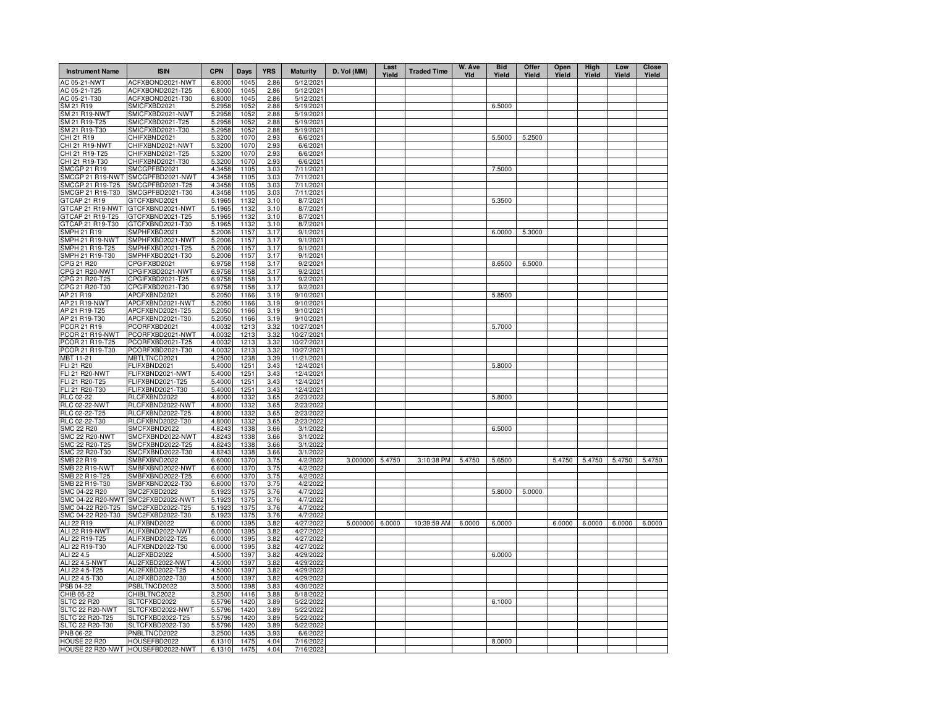| <b>Instrument Name</b>            | <b>ISIN</b>                          | <b>CPN</b>       | <b>Days</b>  | <b>YRS</b>   | <b>Maturity</b>        | D. Vol (MM) | Last<br>Yield | <b>Traded Time</b> | W. Ave<br>YId | <b>Bid</b><br>Yield | Offer<br>Yield | Open<br>Yield | High<br>Yield | Low<br>Yield | <b>Close</b><br>Yield |
|-----------------------------------|--------------------------------------|------------------|--------------|--------------|------------------------|-------------|---------------|--------------------|---------------|---------------------|----------------|---------------|---------------|--------------|-----------------------|
| AC 05-21-NWT                      | ACFXBOND2021-NWT                     | 6.8000           | 1045         | 2.86         | 5/12/2021              |             |               |                    |               |                     |                |               |               |              |                       |
| AC 05-21-T25                      | ACFXBOND2021-T25                     | 6.8000           | 1045         | 2.86         | 5/12/2021              |             |               |                    |               |                     |                |               |               |              |                       |
| AC 05-21-T30                      | ACFXBOND2021-T30                     | 6.8000           | 1045         | 2.86         | 5/12/2021              |             |               |                    |               |                     |                |               |               |              |                       |
| SM 21 R19<br>SM 21 R19-NWT        | SMICFXBD2021<br>SMICFXBD2021-NWT     | 5.2958<br>5.2958 | 1052<br>1052 | 2.88<br>2.88 | 5/19/2021<br>5/19/2021 |             |               |                    |               | 6.5000              |                |               |               |              |                       |
| SM 21 R19-T25                     | SMICFXBD2021-T25                     | 5.2958           | 1052         | 2.88         | 5/19/202               |             |               |                    |               |                     |                |               |               |              |                       |
| SM 21 R19-T30                     | SMICFXBD2021-T30                     | 5.2958           | 1052         | 2.88         | 5/19/2021              |             |               |                    |               |                     |                |               |               |              |                       |
| CHI 21 R19                        | CHIFXBND2021                         | 5.3200           | 1070         | 2.93         | 6/6/2021               |             |               |                    |               | 5.5000              | 5.2500         |               |               |              |                       |
| CHI 21 R19-NWT                    | CHIFXBND2021-NWT                     | 5.3200           | 1070         | 2.93         | 6/6/2021               |             |               |                    |               |                     |                |               |               |              |                       |
| CHI 21 R19-T25                    | CHIFXBND2021-T25                     | 5.3200           | 1070         | 2.93         | 6/6/2021               |             |               |                    |               |                     |                |               |               |              |                       |
| CHI 21 R19-T30                    | CHIFXBND2021-T30                     | 5.3200           | 1070         | 2.93         | 6/6/2021               |             |               |                    |               |                     |                |               |               |              |                       |
| <b>SMCGP 21 R19</b>               | SMCGPFBD2021                         | 4.3458           | 1105         | 3.03         | 7/11/2021              |             |               |                    |               | 7.5000              |                |               |               |              |                       |
| SMCGP 21 R19-NWT                  | SMCGPFBD2021-NWT                     | 4.3458           | 1105         | 3.03         | 7/11/2021              |             |               |                    |               |                     |                |               |               |              |                       |
| SMCGP 21 R19-T25                  | SMCGPFBD2021-T25                     | 4.3458           | 1105         | 3.03         | 7/11/2021              |             |               |                    |               |                     |                |               |               |              |                       |
| SMCGP 21 R19-T30<br>GTCAP 21 R19  | SMCGPFBD2021-T30<br>GTCFXBND2021     | 4.3458<br>5.1965 | 1105<br>1132 | 3.03<br>3.10 | 7/11/2021<br>8/7/2021  |             |               |                    |               | 5.3500              |                |               |               |              |                       |
| GTCAP 21 R19-NWT                  | GTCFXBND2021-NWT                     | 5.1965           | 1132         | 3.10         | 8/7/2021               |             |               |                    |               |                     |                |               |               |              |                       |
| GTCAP 21 R19-T25                  | GTCFXBND2021-T25                     | 5.1965           | 1132         | 3.10         | 8/7/2021               |             |               |                    |               |                     |                |               |               |              |                       |
| GTCAP 21 R19-T30                  | GTCFXBND2021-T30                     | 5.1965           | 1132         | 3.10         | 8/7/2021               |             |               |                    |               |                     |                |               |               |              |                       |
| <b>SMPH 21 R19</b>                | SMPHFXBD2021                         | 5.2006           | 1157         | 3.17         | 9/1/2021               |             |               |                    |               | 6.0000              | 5.3000         |               |               |              |                       |
| SMPH 21 R19-NWT                   | SMPHFXBD2021-NWT                     | 5.2006           | 1157         | 3.17         | 9/1/2021               |             |               |                    |               |                     |                |               |               |              |                       |
| SMPH 21 R19-T25                   | SMPHFXBD2021-T25                     | 5.2006           | 1157         | 3.17         | 9/1/2021               |             |               |                    |               |                     |                |               |               |              |                       |
| SMPH 21 R19-T30                   | SMPHFXBD2021-T30                     | 5.2006           | 1157         | 3.17         | 9/1/2021               |             |               |                    |               |                     |                |               |               |              |                       |
| CPG 21 R20                        | CPGIFXBD2021                         | 6.9758           | 1158         | 3.17         | 9/2/2021               |             |               |                    |               | 8.6500              | 6.5000         |               |               |              |                       |
| CPG 21 R20-NWT                    | CPGIFXBD2021-NWT                     | 6.9758           | 1158         | 3.17         | 9/2/2021               |             |               |                    |               |                     |                |               |               |              |                       |
| CPG 21 R20-T25                    | CPGIFXBD2021-T25                     | 6.9758           | 1158         | 3.17         | 9/2/2021               |             |               |                    |               |                     |                |               |               |              |                       |
| CPG 21 R20-T30                    | CPGIFXBD2021-T30                     | 6.9758           | 1158         | 3.17         | 9/2/2021               |             |               |                    |               |                     |                |               |               |              |                       |
| AP 21 R19<br>AP 21 R19-NWT        | APCFXBND2021<br>APCFXBND2021-NWT     | 5.2050<br>5.2050 | 1166<br>1166 | 3.19<br>3.19 | 9/10/2021<br>9/10/2021 |             |               |                    |               | 5.8500              |                |               |               |              |                       |
| AP 21 R19-T25                     | APCFXBND2021-T25                     | 5.2050           | 1166         | 3.19         | 9/10/2021              |             |               |                    |               |                     |                |               |               |              |                       |
| AP 21 R19-T30                     | APCFXBND2021-T30                     | 5.2050           | 1166         | 3.19         | 9/10/2021              |             |               |                    |               |                     |                |               |               |              |                       |
| PCOR 21 R19                       | PCORFXBD2021                         | 4.0032           | 1213         | 3.32         | 10/27/2021             |             |               |                    |               | 5.7000              |                |               |               |              |                       |
| PCOR 21 R19-NWT                   | PCORFXBD2021-NWT                     | 4.0032           | 1213         | 3.32         | 10/27/2021             |             |               |                    |               |                     |                |               |               |              |                       |
| PCOR 21 R19-T25                   | PCORFXBD2021-T25                     | 4.0032           | 1213         | 3.32         | 10/27/2021             |             |               |                    |               |                     |                |               |               |              |                       |
| PCOR 21 R19-T30                   | PCORFXBD2021-T30                     | 4.0032           | 1213         | 3.32         | 10/27/2021             |             |               |                    |               |                     |                |               |               |              |                       |
| MBT 11-21                         | MBTLTNCD2021                         | 4.2500           | 1238         | 3.39         | 11/21/2021             |             |               |                    |               |                     |                |               |               |              |                       |
| FLI 21 R20                        | FLIFXBND2021                         | 5.4000           | 1251         | 3.43         | 12/4/2021              |             |               |                    |               | 5.8000              |                |               |               |              |                       |
| FLI 21 R20-NWT                    | FLIFXBND2021-NWT                     | 5.4000           | 1251         | 3.43         | 12/4/2021              |             |               |                    |               |                     |                |               |               |              |                       |
| FLI 21 R20-T25                    | FLIFXBND2021-T25                     | 5.4000           | 1251         | 3.43         | 12/4/2021              |             |               |                    |               |                     |                |               |               |              |                       |
| FLI 21 R20-T30                    | FLIFXBND2021-T30                     | 5.4000           | 1251         | 3.43         | 12/4/2021              |             |               |                    |               |                     |                |               |               |              |                       |
| RLC 02-22<br><b>RLC 02-22-NWT</b> | RLCFXBND2022<br>RLCFXBND2022-NWT     | 4.8000<br>4.8000 | 1332<br>1332 | 3.65<br>3.65 | 2/23/2022<br>2/23/2022 |             |               |                    |               | 5.8000              |                |               |               |              |                       |
| RLC 02-22-T25                     | RLCFXBND2022-T25                     | 4.8000           | 1332         | 3.65         | 2/23/2022              |             |               |                    |               |                     |                |               |               |              |                       |
| RLC 02-22-T30                     | RLCFXBND2022-T30                     | 4.8000           | 1332         | 3.65         | 2/23/2022              |             |               |                    |               |                     |                |               |               |              |                       |
| <b>SMC 22 R20</b>                 | SMCFXBND2022                         | 4.8243           | 1338         | 3.66         | 3/1/2022               |             |               |                    |               | 6.5000              |                |               |               |              |                       |
| <b>SMC 22 R20-NWT</b>             | SMCFXBND2022-NWT                     | 4.8243           | 1338         | 3.66         | 3/1/2022               |             |               |                    |               |                     |                |               |               |              |                       |
| SMC 22 R20-T25                    | SMCFXBND2022-T25                     | 4.8243           | 1338         | 3.66         | 3/1/2022               |             |               |                    |               |                     |                |               |               |              |                       |
| SMC 22 R20-T30                    | SMCFXBND2022-T30                     | 4.8243           | 1338         | 3.66         | 3/1/2022               |             |               |                    |               |                     |                |               |               |              |                       |
| SMB 22 R19                        | SMBFXBND2022                         | 6.6000           | 1370         | 3.75         | 4/2/2022               | 3.000000    | 5.4750        | 3:10:38 PM         | 5.4750        | 5.6500              |                | 5.4750        | 5.4750        | 5.4750       | 5.4750                |
| <b>SMB 22 R19-NWT</b>             | SMBFXBND2022-NWT                     | 6.6000           | 1370         | 3.75         | 4/2/2022               |             |               |                    |               |                     |                |               |               |              |                       |
| SMB 22 R19-T25                    | SMBFXBND2022-T25                     | 6.6000           | 1370         | 3.75         | 4/2/2022               |             |               |                    |               |                     |                |               |               |              |                       |
| SMB 22 R19-T30<br>SMC 04-22 R20   | SMBFXBND2022-T30<br>SMC2FXBD2022     | 6.6000           | 1370<br>1375 | 3.75<br>3.76 | 4/2/2022<br>4/7/2022   |             |               |                    |               | 5.8000              | 5.0000         |               |               |              |                       |
| SMC 04-22 R20-NWT                 | SMC2FXBD2022-NWT                     | 5.1923<br>5.1923 | 1375         | 3.76         | 4/7/2022               |             |               |                    |               |                     |                |               |               |              |                       |
| SMC 04-22 R20-T25                 | SMC2FXBD2022-T25                     | 5.1923           | 1375         | 3.76         | 4/7/2022               |             |               |                    |               |                     |                |               |               |              |                       |
| SMC 04-22 R20-T30                 | SMC2FXBD2022-T30                     | 5.1923           | 1375         | 3.76         | 4/7/2022               |             |               |                    |               |                     |                |               |               |              |                       |
| ALI 22 R19                        | ALIFXBND2022                         | 6.0000           | 1395         | 3.82         | 4/27/2022              | 5.000000    | 6.0000        | 10:39:59 AM        | 6.0000        | 6.0000              |                | 6.0000        | 6.0000        | 6.0000       | 6.0000                |
| ALI 22 R19-NWT                    | ALIFXBND2022-NWT                     | 6.0000           | 1395         | 3.82         | 4/27/2022              |             |               |                    |               |                     |                |               |               |              |                       |
| ALI 22 R19-T25                    | ALIFXBND2022-T25                     | 6.0000           | 1395         | 3.82         | 4/27/2022              |             |               |                    |               |                     |                |               |               |              |                       |
| ALI 22 R19-T30                    | ALIFXBND2022-T30                     | 6.0000           | 1395         | 3.82         | 4/27/2022              |             |               |                    |               |                     |                |               |               |              |                       |
| ALI 22 4.5                        | ALI2FXBD2022                         | 4.5000           | 1397         | 3.82         | 4/29/2022              |             |               |                    |               | 6.0000              |                |               |               |              |                       |
| ALI 22 4.5-NWT                    | ALI2FXBD2022-NWT                     | 4.5000           | 1397         | 3.82         | 4/29/2022              |             |               |                    |               |                     |                |               |               |              |                       |
| ALI 22 4.5-T25<br>ALI 22 4.5-T30  | ALI2FXBD2022-T25<br>ALI2FXBD2022-T30 | 4.5000<br>4.5000 | 1397<br>1397 | 3.82         | 4/29/2022<br>4/29/2022 |             |               |                    |               |                     |                |               |               |              |                       |
| PSB 04-22                         | PSBLTNCD2022                         | 3.5000           | 1398         | 3.82<br>3.83 | 4/30/2022              |             |               |                    |               |                     |                |               |               |              |                       |
| CHIB 05-22                        | CHIBLTNC2022                         | 3.2500           | 1416         | 3.88         | 5/18/2022              |             |               |                    |               |                     |                |               |               |              |                       |
| <b>SLTC 22 R20</b>                | SLTCFXBD2022                         | 5.5796           | 1420         | 3.89         | 5/22/2022              |             |               |                    |               | 6.1000              |                |               |               |              |                       |
| SLTC 22 R20-NWT                   | SLTCFXBD2022-NWT                     | 5.5796           | 1420         | 3.89         | 5/22/2022              |             |               |                    |               |                     |                |               |               |              |                       |
| SLTC 22 R20-T25                   | SLTCFXBD2022-T25                     | 5.5796           | 1420         | 3.89         | 5/22/2022              |             |               |                    |               |                     |                |               |               |              |                       |
| SLTC 22 R20-T30                   | SLTCFXBD2022-T30                     | 5.5796           | 1420         | 3.89         | 5/22/2022              |             |               |                    |               |                     |                |               |               |              |                       |
| <b>PNB 06-22</b>                  | PNBLTNCD2022                         | 3.2500           | 1435         | 3.93         | 6/6/2022               |             |               |                    |               |                     |                |               |               |              |                       |
| <b>HOUSE 22 R20</b>               | HOUSEFBD2022                         | 6.1310           | 1475         | 4.04         | 7/16/2022              |             |               |                    |               | 8.0000              |                |               |               |              |                       |
|                                   | HOUSE 22 R20-NWT HOUSEFBD2022-NWT    | 6.1310           | 1475         | 4.04         | 7/16/2022              |             |               |                    |               |                     |                |               |               |              |                       |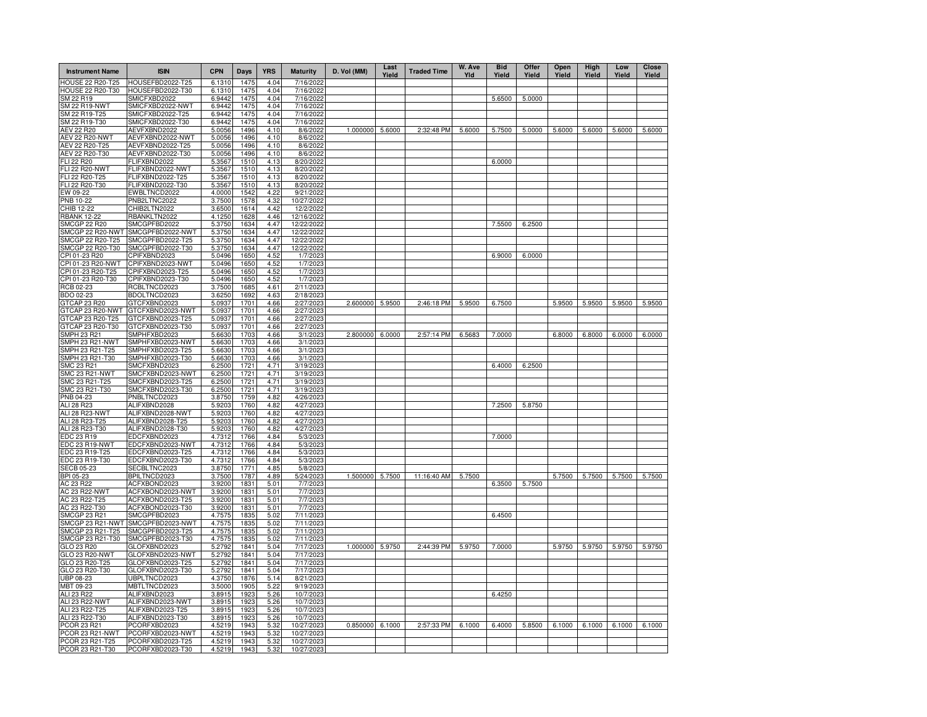| <b>Instrument Name</b>               | <b>ISIN</b>                          | <b>CPN</b>       | Days         | <b>YRS</b>   | <b>Maturity</b>          | D. Vol (MM)     | Last<br>Yield | <b>Traded Time</b> | W. Ave<br>Yld | <b>Bid</b><br>Yield | Offer<br>Yield | Open<br>Yield | High<br>Yield | Low<br>Yield | Close<br>Yield |
|--------------------------------------|--------------------------------------|------------------|--------------|--------------|--------------------------|-----------------|---------------|--------------------|---------------|---------------------|----------------|---------------|---------------|--------------|----------------|
| <b>HOUSE 22 R20-T25</b>              | HOUSEFBD2022-T25                     | 6.1310           | 1475         | 4.04         | 7/16/2022                |                 |               |                    |               |                     |                |               |               |              |                |
| HOUSE 22 R20-T30                     | HOUSEFBD2022-T30                     | 6.1310           | 1475         | 4.04         | 7/16/2022                |                 |               |                    |               |                     |                |               |               |              |                |
| SM 22 R19<br><b>SM 22 R19-NWT</b>    | SMICFXBD2022<br>SMICFXBD2022-NWT     | 6.9442<br>6.9442 | 1475<br>1475 | 4.04<br>4.04 | 7/16/2022<br>7/16/2022   |                 |               |                    |               | 5.6500              | 5.0000         |               |               |              |                |
| SM 22 R19-T25                        | SMICFXBD2022-T25                     | 6.9442           | 1475         | 4.04         | 7/16/2022                |                 |               |                    |               |                     |                |               |               |              |                |
| SM 22 R19-T30                        | SMICFXBD2022-T30                     | 6.9442           | 1475         | 4.04         | 7/16/2022                |                 |               |                    |               |                     |                |               |               |              |                |
| AEV 22 R20                           | AEVFXBND2022                         | 5.0056           | 1496         | 4.10         | 8/6/2022                 | 1.000000 5.6000 |               | 2:32:48 PM         | 5.6000        | 5.7500              | 5.0000         | 5.6000        | 5.6000        | 5.6000       | 5.6000         |
| <b>AEV 22 R20-NWT</b>                | AEVFXBND2022-NWT                     | 5.0056           | 1496         | 4.10         | 8/6/2022                 |                 |               |                    |               |                     |                |               |               |              |                |
| AEV 22 R20-T25                       | AEVFXBND2022-T25                     | 5.0056           | 1496         | 4.10         | 8/6/2022                 |                 |               |                    |               |                     |                |               |               |              |                |
| AEV 22 R20-T30                       | AEVFXBND2022-T30                     | 5.0056           | 1496         | 4.10         | 8/6/2022                 |                 |               |                    |               |                     |                |               |               |              |                |
| FLI 22 R20<br>FLI 22 R20-NWT         | FLIFXBND2022<br>FLIFXBND2022-NWT     | 5.3567<br>5.3567 | 1510<br>1510 | 4.13<br>4.13 | 8/20/2022<br>8/20/2022   |                 |               |                    |               | 6.0000              |                |               |               |              |                |
| FLI 22 R20-T25                       | FLIFXBND2022-T25                     | 5.3567           | 1510         | 4.13         | 8/20/2022                |                 |               |                    |               |                     |                |               |               |              |                |
| FLI 22 R20-T30                       | FLIFXBND2022-T30                     | 5.3567           | 1510         | 4.13         | 8/20/2022                |                 |               |                    |               |                     |                |               |               |              |                |
| EW 09-22                             | EWBLTNCD2022                         | 4.0000           | 1542         | 4.22         | 9/21/2022                |                 |               |                    |               |                     |                |               |               |              |                |
| PNB 10-22                            | PNB2LTNC2022                         | 3.7500           | 1578         | 4.32         | 10/27/2022               |                 |               |                    |               |                     |                |               |               |              |                |
| CHIB 12-22                           | CHIB2LTN2022                         | 3.6500           | 1614         | 4.42         | 12/2/2022                |                 |               |                    |               |                     |                |               |               |              |                |
| <b>RBANK 12-22</b>                   | RBANKLTN2022                         | 4.1250           | 1628         | 4.46         | 12/16/2022               |                 |               |                    |               |                     |                |               |               |              |                |
| <b>SMCGP 22 R20</b>                  | SMCGPFBD2022                         | 5.3750           | 1634         | 4.47         | 12/22/2022               |                 |               |                    |               | 7.5500              | 6.2500         |               |               |              |                |
| SMCGP 22 R20-NWT<br>SMCGP 22 R20-T25 | SMCGPFBD2022-NWT<br>SMCGPFBD2022-T25 | 5.3750<br>5.3750 | 1634<br>1634 | 4.47<br>4.47 | 12/22/2022<br>12/22/2022 |                 |               |                    |               |                     |                |               |               |              |                |
| SMCGP 22 R20-T30                     | SMCGPFBD2022-T30                     | 5.3750           | 1634         | 4.47         | 12/22/2022               |                 |               |                    |               |                     |                |               |               |              |                |
| CPI 01-23 R20                        | CPIFXBND2023                         | 5.0496           | 1650         | 4.52         | 1/7/2023                 |                 |               |                    |               | 6.9000              | 6.0000         |               |               |              |                |
| CPI 01-23 R20-NWT                    | CPIFXBND2023-NWT                     | 5.0496           | 1650         | 4.52         | 1/7/2023                 |                 |               |                    |               |                     |                |               |               |              |                |
| CPI 01-23 R20-T25                    | CPIFXBND2023-T25                     | 5.0496           | 1650         | 4.52         | 1/7/2023                 |                 |               |                    |               |                     |                |               |               |              |                |
| CPI 01-23 R20-T30                    | CPIFXBND2023-T30                     | 5.0496           | 1650         | 4.52         | 1/7/2023                 |                 |               |                    |               |                     |                |               |               |              |                |
| RCB 02-23                            | RCBLTNCD2023                         | 3.7500           | 1685         | 4.61         | 2/11/2023                |                 |               |                    |               |                     |                |               |               |              |                |
| <b>BDO 02-23</b>                     | BDOLTNCD2023                         | 3.6250           | 1692         | 4.63         | 2/18/2023                |                 |               |                    |               |                     |                |               |               |              |                |
| GTCAP 23 R20                         | GTCFXBND2023                         | 5.0937           | 1701         | 4.66         | 2/27/2023                | 2.600000        | 5.9500        | 2:46:18 PM         | 5.9500        | 6.7500              |                | 5.9500        | 5.9500        | 5.9500       | 5.9500         |
| GTCAP 23 R20-NWT                     | GTCFXBND2023-NWT                     | 5.0937           | 1701         | 4.66         | 2/27/2023                |                 |               |                    |               |                     |                |               |               |              |                |
| GTCAP 23 R20-T25<br>GTCAP 23 R20-T30 | GTCFXBND2023-T25<br>GTCFXBND2023-T30 | 5.0937<br>5.0937 | 1701<br>1701 | 4.66<br>4.66 | 2/27/2023<br>2/27/2023   |                 |               |                    |               |                     |                |               |               |              |                |
| <b>SMPH 23 R21</b>                   | SMPHFXBD2023                         | 5.6630           | 1703         | 4.66         | 3/1/2023                 | 2.800000 6.0000 |               | 2:57:14 PM         | 6.5683        | 7.0000              |                | 6.8000        | 6.8000        | 6.0000       | 6.0000         |
| SMPH 23 R21-NWT                      | SMPHFXBD2023-NWT                     | 5.6630           | 1703         | 4.66         | 3/1/2023                 |                 |               |                    |               |                     |                |               |               |              |                |
| SMPH 23 R21-T25                      | SMPHFXBD2023-T25                     | 5.6630           | 1703         | 4.66         | 3/1/2023                 |                 |               |                    |               |                     |                |               |               |              |                |
| SMPH 23 R21-T30                      | SMPHFXBD2023-T30                     | 5.6630           | 1703         | 4.66         | 3/1/2023                 |                 |               |                    |               |                     |                |               |               |              |                |
| SMC 23 R21                           | SMCFXBND2023                         | 6.2500           | 1721         | 4.71         | 3/19/2023                |                 |               |                    |               | 6.4000              | 6.2500         |               |               |              |                |
| SMC 23 R21-NWT                       | SMCFXBND2023-NWT                     | 6.2500           | 1721         | 4.71         | 3/19/2023                |                 |               |                    |               |                     |                |               |               |              |                |
| SMC 23 R21-T25                       | SMCFXBND2023-T25                     | 6.2500           | 1721         | 4.71         | 3/19/2023                |                 |               |                    |               |                     |                |               |               |              |                |
| SMC 23 R21-T30                       | SMCFXBND2023-T30                     | 6.2500           | 1721         | 4.71         | 3/19/2023                |                 |               |                    |               |                     |                |               |               |              |                |
| PNB 04-23<br>ALI 28 R23              | PNBLTNCD2023<br>ALIFXBND2028         | 3.8750<br>5.9203 | 1759<br>1760 | 4.82<br>4.82 | 4/26/2023<br>4/27/2023   |                 |               |                    |               | 7.2500              | 5.8750         |               |               |              |                |
| ALI 28 R23-NWT                       | ALIFXBND2028-NWT                     | 5.9203           | 1760         | 4.82         | 4/27/2023                |                 |               |                    |               |                     |                |               |               |              |                |
| ALI 28 R23-T25                       | ALIFXBND2028-T25                     | 5.9203           | 1760         | 4.82         | 4/27/2023                |                 |               |                    |               |                     |                |               |               |              |                |
| ALI 28 R23-T30                       | ALIFXBND2028-T30                     | 5.9203           | 1760         | 4.82         | 4/27/2023                |                 |               |                    |               |                     |                |               |               |              |                |
| EDC 23 R19                           | EDCFXBND2023                         | 4.7312           | 1766         | 4.84         | 5/3/2023                 |                 |               |                    |               | 7.0000              |                |               |               |              |                |
| EDC 23 R19-NWT                       | EDCFXBND2023-NWT                     | 4.7312           | 1766         | 4.84         | 5/3/2023                 |                 |               |                    |               |                     |                |               |               |              |                |
| EDC 23 R19-T25                       | EDCFXBND2023-T25                     | 4.7312           | 1766         | 4.84         | 5/3/2023                 |                 |               |                    |               |                     |                |               |               |              |                |
| EDC 23 R19-T30                       | EDCFXBND2023-T30                     | 4.7312           | 1766         | 4.84         | 5/3/2023                 |                 |               |                    |               |                     |                |               |               |              |                |
| <b>SECB 05-23</b><br>BPI 05-23       | SECBLTNC2023<br>BPILTNCD2023         | 3.8750<br>3.7500 | 1771<br>1787 | 4.85<br>4.89 | 5/8/2023<br>5/24/2023    | 1.500000        | 5.7500        | 11:16:40 AM        | 5.7500        |                     |                | 5.7500        | 5.7500        | 5.7500       | 5.7500         |
| AC 23 R22                            | ACFXBOND2023                         | 3.9200           | 1831         | 5.01         | 7/7/2023                 |                 |               |                    |               | 6.3500              | 5.7500         |               |               |              |                |
| <b>AC 23 R22-NWT</b>                 | ACFXBOND2023-NWT                     | 3.9200           | 1831         | 5.01         | 7/7/2023                 |                 |               |                    |               |                     |                |               |               |              |                |
| AC 23 R22-T25                        | ACFXBOND2023-T25                     | 3.9200           | 1831         | 5.01         | 7/7/2023                 |                 |               |                    |               |                     |                |               |               |              |                |
| AC 23 R22-T30                        | ACFXBOND2023-T30                     | 3.9200           | 1831         | 5.01         | 7/7/2023                 |                 |               |                    |               |                     |                |               |               |              |                |
| <b>SMCGP 23 R21</b>                  | SMCGPFBD2023                         | 4.7575           | 1835         | 5.02         | 7/11/2023                |                 |               |                    |               | 6.4500              |                |               |               |              |                |
|                                      | SMCGP 23 R21-NWT SMCGPFBD2023-NWT    | 4.7575           | 1835         | 5.02         | 7/11/2023                |                 |               |                    |               |                     |                |               |               |              |                |
| SMCGP 23 R21-T25                     | SMCGPFBD2023-T25                     | 4.7575           | 1835         | 5.02         | 7/11/2023                |                 |               |                    |               |                     |                |               |               |              |                |
| SMCGP 23 R21-T30                     | SMCGPFBD2023-T30                     | 4.7575           | 1835         | 5.02         | 7/11/2023                | 1.000000 5.9750 |               | 2:44:39 PM         | 5.9750        | 7.0000              |                | 5.9750        | 5.9750        | 5.9750       | 5.9750         |
| GLO 23 R20<br>GLO 23 R20-NWT         | GLOFXBND2023<br>GLOFXBND2023-NWT     | 5.2792<br>5.2792 | 1841<br>1841 | 5.04<br>5.04 | 7/17/2023<br>7/17/2023   |                 |               |                    |               |                     |                |               |               |              |                |
| GLO 23 R20-T25                       | GLOFXBND2023-T25                     | 5.2792           | 1841         | 5.04         | 7/17/2023                |                 |               |                    |               |                     |                |               |               |              |                |
| GLO 23 R20-T30                       | GLOFXBND2023-T30                     | 5.2792           | 1841         | 5.04         | 7/17/2023                |                 |               |                    |               |                     |                |               |               |              |                |
| UBP 08-23                            | UBPLTNCD2023                         | 4.3750           | 1876         | 5.14         | 8/21/2023                |                 |               |                    |               |                     |                |               |               |              |                |
| MBT 09-23                            | MBTLTNCD2023                         | 3.5000           | 1905         | 5.22         | 9/19/2023                |                 |               |                    |               |                     |                |               |               |              |                |
| ALI 23 R22                           | ALIFXBND2023                         | 3.8915           | 1923         | 5.26         | 10/7/2023                |                 |               |                    |               | 6.4250              |                |               |               |              |                |
| ALI 23 R22-NWT                       | ALIFXBND2023-NWT                     | 3.8915           | 192          | 5.26         | 10/7/2023                |                 |               |                    |               |                     |                |               |               |              |                |
| ALI 23 R22-T25                       | ALIFXBND2023-T25                     | 3.8915           | 1923         | 5.26         | 10/7/2023                |                 |               |                    |               |                     |                |               |               |              |                |
| ALI 23 R22-T30<br>PCOR 23 R21        | ALIFXBND2023-T30                     | 3.8915<br>4.5219 | 1923<br>1943 | 5.26         | 10/7/2023                | 0.850000 6.1000 |               | 2:57:33 PM         | 6.1000        | 6.4000              | 5.8500         | 6.1000        | 6.1000        | 6.1000       | 6.1000         |
| PCOR 23 R21-NWT                      | PCORFXBD2023<br>PCORFXBD2023-NWT     | 4.5219           | 1943         | 5.32<br>5.32 | 10/27/2023<br>10/27/2023 |                 |               |                    |               |                     |                |               |               |              |                |
| PCOR 23 R21-T25                      | PCORFXBD2023-T25                     | 4.5219           | 1943         | 5.32         | 10/27/2023               |                 |               |                    |               |                     |                |               |               |              |                |
| PCOR 23 R21-T30                      | PCORFXBD2023-T30                     | 4.5219           | 1943         | 5.32         | 10/27/2023               |                 |               |                    |               |                     |                |               |               |              |                |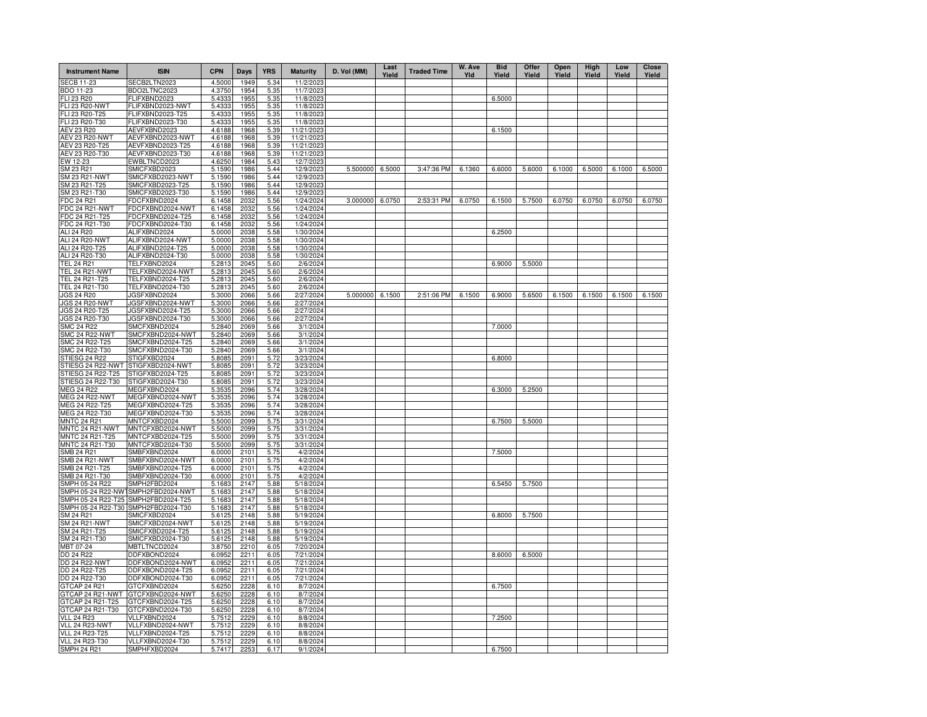| <b>Instrument Name</b>                   | <b>ISIN</b>                          | <b>CPN</b>       | Days         | <b>YRS</b>   | <b>Maturity</b>         | D. Vol (MM)     | Last<br>Yield | <b>Traded Time</b> | W. Ave<br>YId | <b>Bid</b><br>Yield | Offer<br>Yield | Open<br>Yield | High<br>Yield | Low<br>Yield | <b>Close</b><br>Yield |
|------------------------------------------|--------------------------------------|------------------|--------------|--------------|-------------------------|-----------------|---------------|--------------------|---------------|---------------------|----------------|---------------|---------------|--------------|-----------------------|
| <b>SECB 11-23</b>                        | SECB2LTN2023                         | 4.5000           | 1949         | 5.34         | 11/2/2023               |                 |               |                    |               |                     |                |               |               |              |                       |
| BDO 11-23                                | BDO2LTNC2023                         | 4.3750           | 1954         | 5.35         | 11/7/2023               |                 |               |                    |               |                     |                |               |               |              |                       |
| FLI 23 R20                               | FLIFXBND2023                         | 5.4333           | 1955         | 5.35         | 11/8/2023               |                 |               |                    |               | 6.5000              |                |               |               |              |                       |
| FLI 23 R20-NWT                           | FLIFXBND2023-NWT                     | 5.4333           | 1955         | 5.35         | 11/8/2023               |                 |               |                    |               |                     |                |               |               |              |                       |
| FLI 23 R20-T25                           | FLIFXBND2023-T25                     | 5.4333           | 1955         | 5.35         | 11/8/2023               |                 |               |                    |               |                     |                |               |               |              |                       |
| FLI 23 R20-T30<br>AEV 23 R20             | FLIFXBND2023-T30<br>AEVFXBND2023     | 5.4333<br>4.6188 | 1955<br>1968 | 5.35<br>5.39 | 11/8/2023<br>11/21/2023 |                 |               |                    |               | 6.1500              |                |               |               |              |                       |
| <b>AEV 23 R20-NWT</b>                    | AEVFXBND2023-NWT                     | 4.6188           | 1968         | 5.39         | 11/21/2023              |                 |               |                    |               |                     |                |               |               |              |                       |
| AEV 23 R20-T25                           | AEVFXBND2023-T25                     | 4.6188           | 1968         | 5.39         | 11/21/2023              |                 |               |                    |               |                     |                |               |               |              |                       |
| AEV 23 R20-T30                           | AEVFXBND2023-T30                     | 4.6188           | 1968         | 5.39         | 11/21/2023              |                 |               |                    |               |                     |                |               |               |              |                       |
| EW 12-23                                 | EWBLTNCD2023                         | 4.6250           | 1984         | 5.43         | 12/7/2023               |                 |               |                    |               |                     |                |               |               |              |                       |
| SM 23 R21                                | SMICFXBD2023                         | 5.1590           | 1986         | 5.44         | 12/9/2023               | 5.500000 6.5000 |               | 3:47:36 PM         | 6.1360        | 6.6000              | 5.6000         | 6.1000        | 6.5000        | 6.1000       | 6.5000                |
| SM 23 R21-NWT                            | SMICFXBD2023-NWT                     | 5.1590           | 1986         | 5.44         | 12/9/2023               |                 |               |                    |               |                     |                |               |               |              |                       |
| SM 23 R21-T25                            | SMICFXBD2023-T25                     | 5.1590           | 1986         | 5.44         | 12/9/2023               |                 |               |                    |               |                     |                |               |               |              |                       |
| SM 23 R21-T30                            | SMICFXBD2023-T30                     | 5.1590           | 1986         | 5.44         | 12/9/2023               |                 |               |                    |               |                     |                |               |               |              |                       |
| FDC 24 R21                               | FDCFXBND2024                         | 6.1458           | 2032         | 5.56         | 1/24/2024               | 3.000000 6.0750 |               | 2:53:31 PM         | 6.0750        | 6.1500              | 5.7500         | 6.0750        | 6.0750        | 6.0750       | 6.0750                |
| FDC 24 R21-NWT                           | FDCFXBND2024-NWT                     | 6.1458           | 2032         | 5.56         | 1/24/2024               |                 |               |                    |               |                     |                |               |               |              |                       |
| FDC 24 R21-T25                           | FDCFXBND2024-T25                     | 6.1458           | 2032         | 5.56         | 1/24/2024               |                 |               |                    |               |                     |                |               |               |              |                       |
| FDC 24 R21-T30                           | FDCFXBND2024-T30                     | 6.1458           | 2032         | 5.56         | 1/24/2024               |                 |               |                    |               |                     |                |               |               |              |                       |
| ALI 24 R20                               | ALIFXBND2024                         | 5.0000           | 2038         | 5.58         | 1/30/2024               |                 |               |                    |               | 6.2500              |                |               |               |              |                       |
| ALI 24 R20-NWT                           | ALIFXBND2024-NWT                     | 5.0000           | 2038         | 5.58         | 1/30/2024               |                 |               |                    |               |                     |                |               |               |              |                       |
| ALI 24 R20-T25<br>ALI 24 R20-T30         | ALIFXBND2024-T25<br>ALIFXBND2024-T30 | 5.0000<br>5.0000 | 2038<br>2038 | 5.58<br>5.58 | 1/30/2024<br>1/30/2024  |                 |               |                    |               |                     |                |               |               |              |                       |
| <b>TEL 24 R21</b>                        | TELFXBND2024                         | 5.2813           | 2045         | 5.60         | 2/6/2024                |                 |               |                    |               | 6.9000              | 5.5000         |               |               |              |                       |
| <b>TEL 24 R21-NWT</b>                    | TELFXBND2024-NWT                     | 5.2813           | 2045         | 5.60         | 2/6/2024                |                 |               |                    |               |                     |                |               |               |              |                       |
| TEL 24 R21-T25                           | TELFXBND2024-T25                     | 5.2813           | 2045         | 5.60         | 2/6/2024                |                 |               |                    |               |                     |                |               |               |              |                       |
| TEL 24 R21-T30                           | TELFXBND2024-T30                     | 5.2813           | 2045         | 5.60         | 2/6/2024                |                 |               |                    |               |                     |                |               |               |              |                       |
| <b>JGS 24 R20</b>                        | JGSFXBND2024                         | 5.3000           | 2066         | 5.66         | 2/27/2024               | 5.000000        | 6.1500        | 2:51:06 PM         | 6.1500        | 6.9000              | 5.6500         | 6.1500        | 6.1500        | 6.1500       | 6.1500                |
| JGS 24 R20-NWT                           | JGSFXBND2024-NWT                     | 5.3000           | 2066         | 5.66         | 2/27/2024               |                 |               |                    |               |                     |                |               |               |              |                       |
| JGS 24 R20-T25                           | JGSFXBND2024-T25                     | 5.3000           | 2066         | 5.66         | 2/27/2024               |                 |               |                    |               |                     |                |               |               |              |                       |
| JGS 24 R20-T30                           | JGSFXBND2024-T30                     | 5.3000           | 2066         | 5.66         | 2/27/2024               |                 |               |                    |               |                     |                |               |               |              |                       |
| SMC 24 R22                               | SMCFXBND2024                         | 5.2840           | 2069         | 5.66         | 3/1/2024                |                 |               |                    |               | 7.0000              |                |               |               |              |                       |
| <b>SMC 24 R22-NWT</b>                    | SMCFXBND2024-NWT                     | 5.2840           | 2069         | 5.66         | 3/1/2024                |                 |               |                    |               |                     |                |               |               |              |                       |
| SMC 24 R22-T25                           | SMCFXBND2024-T25                     | 5.2840           | 2069         | 5.66         | 3/1/2024                |                 |               |                    |               |                     |                |               |               |              |                       |
| SMC 24 R22-T30                           | SMCFXBND2024-T30                     | 5.2840           | 2069         | 5.66         | 3/1/2024                |                 |               |                    |               |                     |                |               |               |              |                       |
| STIESG 24 R22                            | STIGFXBD2024                         | 5.8085           | 2091         | 5.72         | 3/23/2024               |                 |               |                    |               | 6.8000              |                |               |               |              |                       |
| STIESG 24 R22-NWT                        | STIGFXBD2024-NWT                     | 5.8085           | 2091         | 5.72         | 3/23/2024               |                 |               |                    |               |                     |                |               |               |              |                       |
| STIESG 24 R22-T25<br>STIESG 24 R22-T30   | STIGFXBD2024-T25                     | 5.8085           | 2091<br>2091 | 5.72         | 3/23/2024               |                 |               |                    |               |                     |                |               |               |              |                       |
| <b>MEG 24 R22</b>                        | STIGFXBD2024-T30<br>MEGFXBND2024     | 5.8085<br>5.3535 | 2096         | 5.72<br>5.74 | 3/23/2024<br>3/28/2024  |                 |               |                    |               | 6.3000              | 5.2500         |               |               |              |                       |
| <b>MEG 24 R22-NWT</b>                    | MEGFXBND2024-NWT                     | 5.3535           | 2096         | 5.74         | 3/28/2024               |                 |               |                    |               |                     |                |               |               |              |                       |
| MEG 24 R22-T25                           | MEGFXBND2024-T25                     | 5.3535           | 2096         | 5.74         | 3/28/2024               |                 |               |                    |               |                     |                |               |               |              |                       |
| MEG 24 R22-T30                           | MEGFXBND2024-T30                     | 5.3535           | 2096         | 5.74         | 3/28/2024               |                 |               |                    |               |                     |                |               |               |              |                       |
| <b>MNTC 24 R21</b>                       | MNTCFXBD2024                         | 5.5000           | 2099         | 5.75         | 3/31/2024               |                 |               |                    |               | 6.7500              | 5.5000         |               |               |              |                       |
| MNTC 24 R21-NWT                          | MNTCFXBD2024-NWT                     | 5.5000           | 2099         | 5.75         | 3/31/2024               |                 |               |                    |               |                     |                |               |               |              |                       |
| MNTC 24 R21-T25                          | MNTCFXBD2024-T25                     | 5.5000           | 2099         | 5.75         | 3/31/2024               |                 |               |                    |               |                     |                |               |               |              |                       |
| MNTC 24 R21-T30                          | MNTCFXBD2024-T30                     | 5.5000           | 2099         | 5.75         | 3/31/2024               |                 |               |                    |               |                     |                |               |               |              |                       |
| SMB 24 R21                               | SMBFXBND2024                         | 6.0000           | 2101         | 5.75         | 4/2/2024                |                 |               |                    |               | 7.5000              |                |               |               |              |                       |
| SMB 24 R21-NWT                           | SMBFXBND2024-NWT                     | 6.0000           | 2101         | 5.75         | 4/2/2024                |                 |               |                    |               |                     |                |               |               |              |                       |
| SMB 24 R21-T25                           | SMBFXBND2024-T25                     | 6.0000           | 2101         | 5.75         | 4/2/2024                |                 |               |                    |               |                     |                |               |               |              |                       |
| SMB 24 R21-T30                           | SMBFXBND2024-T30                     | 6.0000           | 2101         | 5.75         | 4/2/2024                |                 |               |                    |               |                     |                |               |               |              |                       |
| SMPH 05-24 R22                           | SMPH2FBD2024                         | 5.1683           | 2147         | 5.88         | 5/18/2024               |                 |               |                    |               | 6.5450              | 5.7500         |               |               |              |                       |
| SMPH 05-24 R22-NWT                       | SMPH2FBD2024-NWT                     | 5.1683           | 2147         | 5.88         | 5/18/2024               |                 |               |                    |               |                     |                |               |               |              |                       |
| SMPH 05-24 R22-T25<br>SMPH 05-24 R22-T30 | SMPH2FBD2024-T25<br>SMPH2FBD2024-T30 | 5.1683<br>5.1683 | 2147<br>2147 | 5.88<br>5.88 | 5/18/2024<br>5/18/2024  |                 |               |                    |               |                     |                |               |               |              |                       |
| SM 24 R21                                | SMICFXBD2024                         | 5.6125           | 2148         | 5.88         | 5/19/2024               |                 |               |                    |               | 6.8000              | 5.7500         |               |               |              |                       |
| SM 24 R21-NWT                            | SMICFXBD2024-NWT                     | 5.6125           | 2148         | 5.88         | 5/19/2024               |                 |               |                    |               |                     |                |               |               |              |                       |
| SM 24 R21-T25                            | SMICFXBD2024-T25                     | 5.6125           | 2148         | 5.88         | 5/19/2024               |                 |               |                    |               |                     |                |               |               |              |                       |
| SM 24 R21-T30                            | SMICFXBD2024-T30                     | 5.6125           | 2148         | 5.88         | 5/19/2024               |                 |               |                    |               |                     |                |               |               |              |                       |
| MBT 07-24                                | MBTLTNCD2024                         | 3.8750           | 2210         | 6.05         | 7/20/2024               |                 |               |                    |               |                     |                |               |               |              |                       |
| DD 24 R22                                | DDFXBOND2024                         | 6.0952           | 2211         | 6.05         | 7/21/2024               |                 |               |                    |               | 8.6000              | 6.5000         |               |               |              |                       |
| <b>DD 24 R22-NWT</b>                     | DDFXBOND2024-NWT                     | 6.0952           | 2211         | 6.05         | 7/21/2024               |                 |               |                    |               |                     |                |               |               |              |                       |
| DD 24 R22-T25                            | DDFXBOND2024-T25                     | 6.0952           | 2211         | 6.05         | 7/21/2024               |                 |               |                    |               |                     |                |               |               |              |                       |
| DD 24 R22-T30                            | DDFXBOND2024-T30                     | 6.0952           | 2211         | 6.05         | 7/21/2024               |                 |               |                    |               |                     |                |               |               |              |                       |
| GTCAP 24 R21                             | GTCFXBND2024                         | 5.6250           | 2228         | 6.10         | 8/7/2024                |                 |               |                    |               | 6.7500              |                |               |               |              |                       |
| GTCAP 24 R21-NWT                         | GTCFXBND2024-NWT                     | 5.6250           | 2228         | 6.10         | 8/7/2024                |                 |               |                    |               |                     |                |               |               |              |                       |
| GTCAP 24 R21-T25                         | GTCFXBND2024-T25                     | 5.6250           | 2228         | 6.10         | 8/7/2024                |                 |               |                    |               |                     |                |               |               |              |                       |
| GTCAP 24 R21-T30                         | GTCFXBND2024-T30                     | 5.6250           | 2228         | 6.10         | 8/7/2024                |                 |               |                    |               |                     |                |               |               |              |                       |
| <b>VLL 24 R23</b>                        | VLLFXBND2024                         | 5.7512           | 2229         | 6.10         | 8/8/2024                |                 |               |                    |               | 7.2500              |                |               |               |              |                       |
| VLL 24 R23-NWT<br><b>VLL 24 R23-T25</b>  | VLLFXBND2024-NWT<br>VLLFXBND2024-T25 | 5.7512<br>5.7512 | 2229<br>2229 | 6.10<br>6.10 | 8/8/2024<br>8/8/2024    |                 |               |                    |               |                     |                |               |               |              |                       |
| <b>VLL 24 R23-T30</b>                    | VLLFXBND2024-T30                     | 5.7512           | 2229         | 6.10         | 8/8/2024                |                 |               |                    |               |                     |                |               |               |              |                       |
| <b>SMPH 24 R21</b>                       | SMPHFXBD2024                         | 5.7417           | 2253         | 6.17         | 9/1/2024                |                 |               |                    |               | 6.7500              |                |               |               |              |                       |
|                                          |                                      |                  |              |              |                         |                 |               |                    |               |                     |                |               |               |              |                       |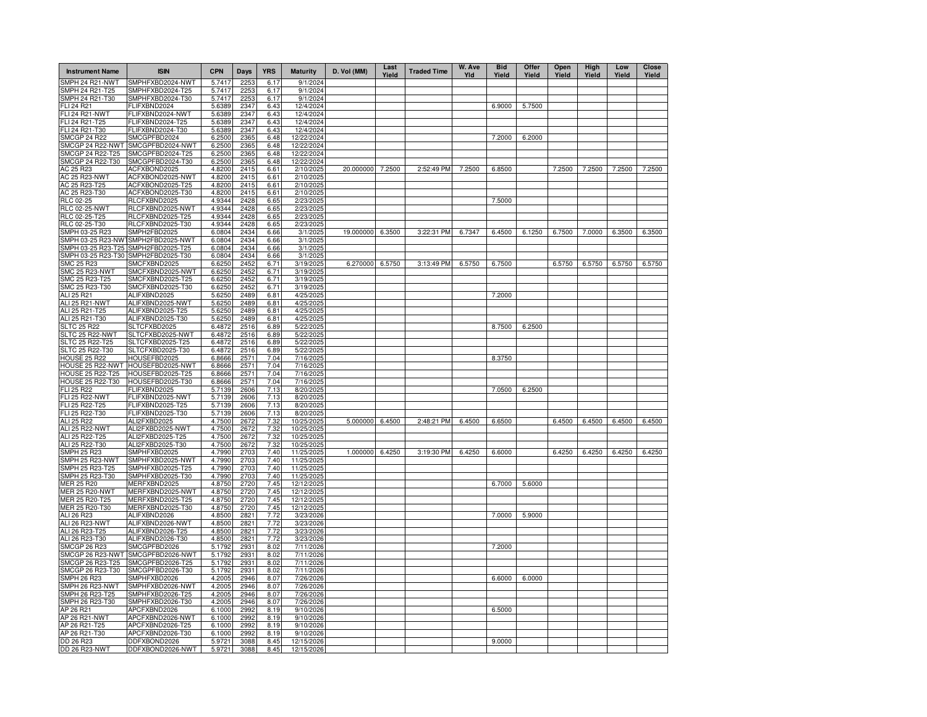| <b>Instrument Name</b>                   | <b>ISIN</b>                          | <b>CPN</b>       | <b>Days</b>  | <b>YRS</b>   | <b>Maturity</b>          | D. Vol (MM)      | Last<br>Yield | <b>Traded Time</b> | W. Ave<br>Yld | <b>Bid</b><br>Yield | Offer<br>Yield | Open<br>Yield | High<br>Yield | Low<br>Yield | <b>Close</b><br>Yield |
|------------------------------------------|--------------------------------------|------------------|--------------|--------------|--------------------------|------------------|---------------|--------------------|---------------|---------------------|----------------|---------------|---------------|--------------|-----------------------|
| SMPH 24 R21-NWT                          | SMPHFXBD2024-NWT                     | 5.7417           | 2253         | 6.17         | 9/1/2024                 |                  |               |                    |               |                     |                |               |               |              |                       |
| SMPH 24 R21-T25                          | SMPHFXBD2024-T25                     | 5.7417           | 2253         | 6.17         | 9/1/2024                 |                  |               |                    |               |                     |                |               |               |              |                       |
| SMPH 24 R21-T30                          | SMPHFXBD2024-T30                     | 5.7417           | 2253         | 6.17         | 9/1/2024                 |                  |               |                    |               |                     |                |               |               |              |                       |
| FLI 24 R21<br>FLI 24 R21-NWT             | FLIFXBND2024<br>FLIFXBND2024-NWT     | 5.6389<br>5.6389 | 2347<br>2347 | 6.43<br>6.43 | 12/4/2024<br>12/4/2024   |                  |               |                    |               | 6.9000              | 5.7500         |               |               |              |                       |
| FLI 24 R21-T25                           | -LIFXBND2024-T25                     | 5.6389           | 2347         | 6.43         | 12/4/2024                |                  |               |                    |               |                     |                |               |               |              |                       |
| FLI 24 R21-T30                           | FLIFXBND2024-T30                     | 5.6389           | 2347         | 6.43         | 12/4/2024                |                  |               |                    |               |                     |                |               |               |              |                       |
| <b>SMCGP 24 R22</b>                      | SMCGPFBD2024                         | 6.2500           | 2365         | 6.48         | 12/22/2024               |                  |               |                    |               | 7.2000              | 6.2000         |               |               |              |                       |
| SMCGP 24 R22-NWT                         | SMCGPFBD2024-NWT                     | 6.2500           | 2365         | 6.48         | 12/22/2024               |                  |               |                    |               |                     |                |               |               |              |                       |
| SMCGP 24 R22-T25                         | SMCGPFBD2024-T25                     | 6.2500           | 2365         | 6.48         | 12/22/2024               |                  |               |                    |               |                     |                |               |               |              |                       |
| SMCGP 24 R22-T30                         | SMCGPFBD2024-T30                     | 6.2500           | 2365         | 6.48         | 12/22/2024               |                  |               |                    |               |                     |                |               |               |              |                       |
| AC 25 R23                                | ACFXBOND2025                         | 4.8200           | 2415         | 6.61         | 2/10/2025                | 20.000000 7.2500 |               | 2:52:49 PM         | 7.2500        | 6.8500              |                | 7.2500        | 7.2500        | 7.2500       | 7.2500                |
| <b>AC 25 R23-NWT</b>                     | ACFXBOND2025-NWT                     | 4.8200           | 2415         | 6.61         | 2/10/2025                |                  |               |                    |               |                     |                |               |               |              |                       |
| AC 25 R23-T25                            | ACFXBOND2025-T25                     | 4.8200           | 2415         | 6.61         | 2/10/2025                |                  |               |                    |               |                     |                |               |               |              |                       |
| AC 25 R23-T30                            | ACFXBOND2025-T30                     | 4.8200           | 2415         | 6.61         | 2/10/2025                |                  |               |                    |               |                     |                |               |               |              |                       |
| <b>RLC 02-25</b><br><b>RLC 02-25-NWT</b> | RLCFXBND2025<br>RLCFXBND2025-NWT     | 4.9344<br>4.9344 | 2428<br>2428 | 6.65         | 2/23/2025<br>2/23/2025   |                  |               |                    |               | 7.5000              |                |               |               |              |                       |
| RLC 02-25-T25                            | RLCFXBND2025-T25                     | 4.9344           | 2428         | 6.65<br>6.65 | 2/23/2025                |                  |               |                    |               |                     |                |               |               |              |                       |
| RLC 02-25-T30                            | RLCFXBND2025-T30                     | 4.9344           | 2428         | 6.65         | 2/23/2025                |                  |               |                    |               |                     |                |               |               |              |                       |
| SMPH 03-25 R23                           | SMPH2FBD2025                         | 6.0804           | 2434         | 6.66         | 3/1/2025                 | 19.000000 6.3500 |               | 3:22:31 PM         | 6.7347        | 6.4500              | 6.1250         | 6.7500        | 7.0000        | 6.3500       | 6.3500                |
| SMPH 03-25 R23-NWT                       | SMPH2FBD2025-NWT                     | 6.0804           | 2434         | 6.66         | 3/1/2025                 |                  |               |                    |               |                     |                |               |               |              |                       |
| SMPH 03-25 R23-T25                       | SMPH2FBD2025-T25                     | 6.0804           | 2434         | 6.66         | 3/1/2025                 |                  |               |                    |               |                     |                |               |               |              |                       |
| SMPH 03-25 R23-T30                       | SMPH2FBD2025-T30                     | 6.0804           | 2434         | 6.66         | 3/1/2025                 |                  |               |                    |               |                     |                |               |               |              |                       |
| <b>SMC 25 R23</b>                        | SMCFXBND2025                         | 6.6250           | 2452         | 6.71         | 3/19/2025                | 6.270000         | 6.5750        | 3:13:49 PM         | 6.5750        | 6.7500              |                | 6.5750        | 6.5750        | 6.5750       | 6.5750                |
| SMC 25 R23-NWT                           | SMCFXBND2025-NWT                     | 6.6250           | 2452         | 6.71         | 3/19/2025                |                  |               |                    |               |                     |                |               |               |              |                       |
| SMC 25 R23-T25                           | SMCFXBND2025-T25                     | 6.6250           | 2452         | 6.71         | 3/19/2025                |                  |               |                    |               |                     |                |               |               |              |                       |
| SMC 25 R23-T30                           | SMCFXBND2025-T30                     | 6.6250           | 2452         | 6.71         | 3/19/2025                |                  |               |                    |               |                     |                |               |               |              |                       |
| ALI 25 R21                               | ALIFXBND2025                         | 5.6250           | 2489         | 6.81         | 4/25/2025                |                  |               |                    |               | 7.2000              |                |               |               |              |                       |
| ALI 25 R21-NWT                           | ALIFXBND2025-NWT                     | 5.6250           | 2489         | 6.81         | 4/25/2025                |                  |               |                    |               |                     |                |               |               |              |                       |
| ALI 25 R21-T25                           | ALIFXBND2025-T25                     | 5.6250           | 2489         | 6.81         | 4/25/2025                |                  |               |                    |               |                     |                |               |               |              |                       |
| ALI 25 R21-T30<br><b>SLTC 25 R22</b>     | ALIFXBND2025-T30<br>SLTCFXBD2025     | 5.6250<br>6.4872 | 2489<br>2516 | 6.81<br>6.89 | 4/25/2025<br>5/22/2025   |                  |               |                    |               | 8.7500              | 6.2500         |               |               |              |                       |
| SLTC 25 R22-NWT                          | SLTCFXBD2025-NWT                     | 6.4872           | 2516         | 6.89         | 5/22/2025                |                  |               |                    |               |                     |                |               |               |              |                       |
| SLTC 25 R22-T25                          | SLTCFXBD2025-T25                     | 6.4872           | 2516         | 6.89         | 5/22/2025                |                  |               |                    |               |                     |                |               |               |              |                       |
| SLTC 25 R22-T30                          | SLTCFXBD2025-T30                     | 6.4872           | 2516         | 6.89         | 5/22/2025                |                  |               |                    |               |                     |                |               |               |              |                       |
| <b>HOUSE 25 R22</b>                      | HOUSEFBD2025                         | 6.8666           | 2571         | 7.04         | 7/16/2025                |                  |               |                    |               | 8.3750              |                |               |               |              |                       |
| HOUSE 25 R22-NWT                         | HOUSEFBD2025-NWT                     | 6.8666           | 2571         | 7.04         | 7/16/2025                |                  |               |                    |               |                     |                |               |               |              |                       |
| <b>HOUSE 25 R22-T25</b>                  | HOUSEFBD2025-T25                     | 6.8666           | 2571         | 7.04         | 7/16/2025                |                  |               |                    |               |                     |                |               |               |              |                       |
| <b>HOUSE 25 R22-T30</b>                  | HOUSEFBD2025-T30                     | 6.8666           | 2571         | 7.04         | 7/16/2025                |                  |               |                    |               |                     |                |               |               |              |                       |
| <b>FLI 25 R22</b>                        | FLIFXBND2025                         | 5.7139           | 2606         | 7.13         | 8/20/2025                |                  |               |                    |               | 7.0500              | 6.2500         |               |               |              |                       |
| <b>FLI 25 R22-NWT</b>                    | FLIFXBND2025-NWT                     | 5.7139           | 2606         | 7.13         | 8/20/2025                |                  |               |                    |               |                     |                |               |               |              |                       |
| FLI 25 R22-T25                           | FLIFXBND2025-T25                     | 5.7139           | 2606         | 7.13         | 8/20/2025                |                  |               |                    |               |                     |                |               |               |              |                       |
| FLI 25 R22-T30                           | FLIFXBND2025-T30                     | 5.7139           | 2606         | 7.13         | 8/20/2025                |                  |               |                    |               |                     |                |               |               |              |                       |
| ALI 25 R22<br><b>ALI 25 R22-NWT</b>      | ALI2FXBD2025<br>ALI2FXBD2025-NWT     | 4.7500<br>4.7500 | 2672<br>2672 | 7.32<br>7.32 | 10/25/2025<br>10/25/2025 | 5.000000         | 6.4500        | 2:48:21 PM         | 6.4500        | 6.6500              |                | 6.4500        | 6.4500        | 6.4500       | 6.4500                |
| ALI 25 R22-T25                           | ALI2FXBD2025-T25                     | 4.7500           | 2672         | 7.32         | 10/25/2025               |                  |               |                    |               |                     |                |               |               |              |                       |
| ALI 25 R22-T30                           | ALI2FXBD2025-T30                     | 4.7500           | 2672         | 7.32         | 10/25/2025               |                  |               |                    |               |                     |                |               |               |              |                       |
| <b>SMPH 25 R23</b>                       | SMPHFXBD2025                         | 4.7990           | 2703         | 7.40         | 11/25/2025               | 1.000000 6.4250  |               | 3:19:30 PM         | 6.4250        | 6.6000              |                | 6.4250        | 6.4250        | 6.4250       | 6.4250                |
| SMPH 25 R23-NWT                          | SMPHFXBD2025-NWT                     | 4.7990           | 2703         | 7.40         | 11/25/2025               |                  |               |                    |               |                     |                |               |               |              |                       |
| SMPH 25 R23-T25                          | SMPHFXBD2025-T25                     | 4.7990           | 2703         | 7.40         | 11/25/2025               |                  |               |                    |               |                     |                |               |               |              |                       |
| SMPH 25 R23-T30                          | SMPHFXBD2025-T30                     | 4.7990           | 2703         | 7.40         | 11/25/2025               |                  |               |                    |               |                     |                |               |               |              |                       |
| <b>MER 25 R20</b>                        | MERFXBND2025                         | 4.8750           | 2720         | 7.45         | 12/12/2025               |                  |               |                    |               | 6.7000              | 5.6000         |               |               |              |                       |
| <b>MER 25 R20-NWT</b>                    | MERFXBND2025-NWT                     | 4.8750           | 2720         | 7.45         | 12/12/2025               |                  |               |                    |               |                     |                |               |               |              |                       |
| MER 25 R20-T25                           | MERFXBND2025-T25                     | 4.8750           | 2720         | 7.45         | 12/12/2025               |                  |               |                    |               |                     |                |               |               |              |                       |
| MER 25 R20-T30<br>ALI 26 R23             | MERFXBND2025-T30<br>ALIFXBND2026     | 4.8750           | 2720<br>2821 | 7.45<br>7.72 | 12/12/2025               |                  |               |                    |               |                     |                |               |               |              |                       |
| ALI 26 R23-NWT                           | ALIFXBND2026-NWT                     | 4.8500<br>4.8500 | 2821         | 7.72         | 3/23/2026<br>3/23/2026   |                  |               |                    |               | 7.0000              | 5.9000         |               |               |              |                       |
| ALI 26 R23-T25                           | ALIFXBND2026-T25                     | 4.8500           | 2821         | 7.72         | 3/23/2026                |                  |               |                    |               |                     |                |               |               |              |                       |
| ALI 26 R23-T30                           | ALIFXBND2026-T30                     | 4.8500           | 2821         | 7.72         | 3/23/2026                |                  |               |                    |               |                     |                |               |               |              |                       |
| <b>SMCGP 26 R23</b>                      | SMCGPFBD2026                         | 5.1792           | 2931         | 8.02         | 7/11/2026                |                  |               |                    |               | 7.2000              |                |               |               |              |                       |
| SMCGP 26 R23-NWT                         | SMCGPFBD2026-NWT                     | 5.1792           | 2931         | 8.02         | 7/11/2026                |                  |               |                    |               |                     |                |               |               |              |                       |
| SMCGP 26 R23-T25                         | SMCGPFBD2026-T25                     | 5.1792           | 2931         | 8.02         | 7/11/2026                |                  |               |                    |               |                     |                |               |               |              |                       |
| SMCGP 26 R23-T30                         | SMCGPFBD2026-T30                     | 5.1792           | 2931         | 8.02         | 7/11/2026                |                  |               |                    |               |                     |                |               |               |              |                       |
| <b>SMPH 26 R23</b>                       | SMPHFXBD2026                         | 4.2005           | 2946         | 8.07         | 7/26/2026                |                  |               |                    |               | 6.6000              | 6.0000         |               |               |              |                       |
| SMPH 26 R23-NWT                          | SMPHFXBD2026-NWT                     | 4.2005           | 2946         | 8.07         | 7/26/2026                |                  |               |                    |               |                     |                |               |               |              |                       |
| SMPH 26 R23-T25                          | SMPHFXBD2026-T25                     | 4.2005           | 2946         | 8.07         | 7/26/2026                |                  |               |                    |               |                     |                |               |               |              |                       |
| SMPH 26 R23-T30                          | SMPHFXBD2026-T30                     | 4.2005           | 2946         | 8.07         | 7/26/2026                |                  |               |                    |               |                     |                |               |               |              |                       |
| AP 26 R21                                | APCFXBND2026                         | 6.1000           | 2992         | 8.19         | 9/10/2026                |                  |               |                    |               | 6.5000              |                |               |               |              |                       |
| AP 26 R21-NWT                            | APCFXBND2026-NWT                     | 6.1000           | 2992         | 8.19         | 9/10/2026                |                  |               |                    |               |                     |                |               |               |              |                       |
| AP 26 R21-T25<br>AP 26 R21-T30           | APCFXBND2026-T25<br>APCFXBND2026-T30 | 6.1000<br>6.1000 | 2992<br>2992 | 8.19<br>8.19 | 9/10/2026<br>9/10/2026   |                  |               |                    |               |                     |                |               |               |              |                       |
|                                          | DDFXBOND2026                         | 5.9721           | 3088         | 8.45         | 12/15/2026               |                  |               |                    |               | 9.0000              |                |               |               |              |                       |
| DD 26 R23<br>DD 26 R23-NWT               | DDFXBOND2026-NWT                     | 5.9721           | 3088         | 8.45         | 12/15/2026               |                  |               |                    |               |                     |                |               |               |              |                       |